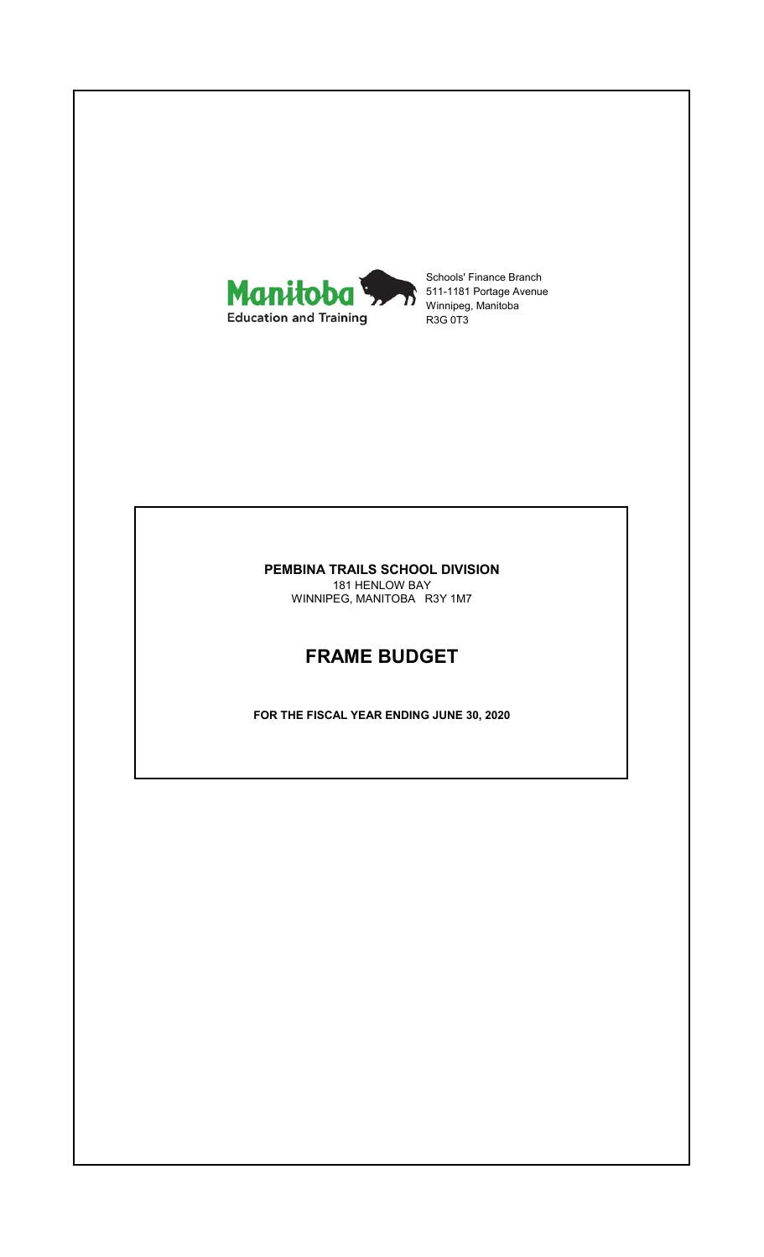

Schools' Finance Branch 511-1181 Portage Avenue Winnipeg, Manitoba R3G 0T3

#### **PEMBINA TRAILS SCHOOL DIVISION** 181 HENLOW BAY

WINNIPEG, MANITOBA R3Y 1M7

# **FRAME BUDGET**

**FOR THE FISCAL YEAR ENDING JUNE 30, 2020**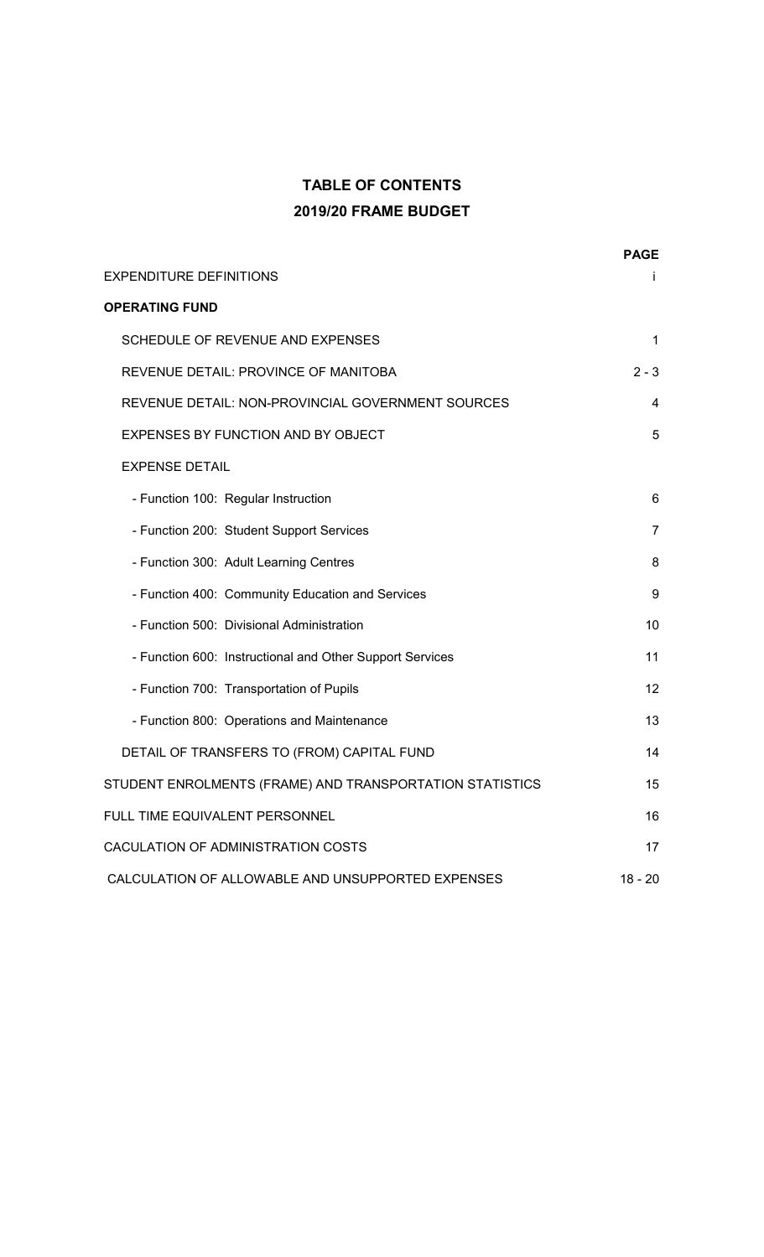# **TABLE OF CONTENTS 2019/20 FRAME BUDGET**

|                                                          | <b>PAGE</b>    |
|----------------------------------------------------------|----------------|
| EXPENDITURE DEFINITIONS                                  |                |
| <b>OPERATING FUND</b>                                    |                |
| SCHEDULE OF REVENUE AND EXPENSES                         | 1              |
| REVENUE DETAIL: PROVINCE OF MANITOBA                     | $2 - 3$        |
| REVENUE DETAIL: NON-PROVINCIAL GOVERNMENT SOURCES        | 4              |
| EXPENSES BY FUNCTION AND BY OBJECT                       | 5              |
| <b>EXPENSE DETAIL</b>                                    |                |
| - Function 100: Regular Instruction                      | 6              |
| - Function 200: Student Support Services                 | $\overline{7}$ |
| - Function 300: Adult Learning Centres                   | 8              |
| - Function 400: Community Education and Services         | 9              |
| - Function 500: Divisional Administration                | 10             |
| - Function 600: Instructional and Other Support Services | 11             |
| - Function 700: Transportation of Pupils                 | 12             |
| - Function 800: Operations and Maintenance               | 13             |
| DETAIL OF TRANSFERS TO (FROM) CAPITAL FUND               | 14             |
| STUDENT ENROLMENTS (FRAME) AND TRANSPORTATION STATISTICS | 15             |
| FULL TIME EQUIVALENT PERSONNEL                           | 16             |
| CACULATION OF ADMINISTRATION COSTS                       | 17             |
| CALCULATION OF ALLOWABLE AND UNSUPPORTED EXPENSES        | $18 - 20$      |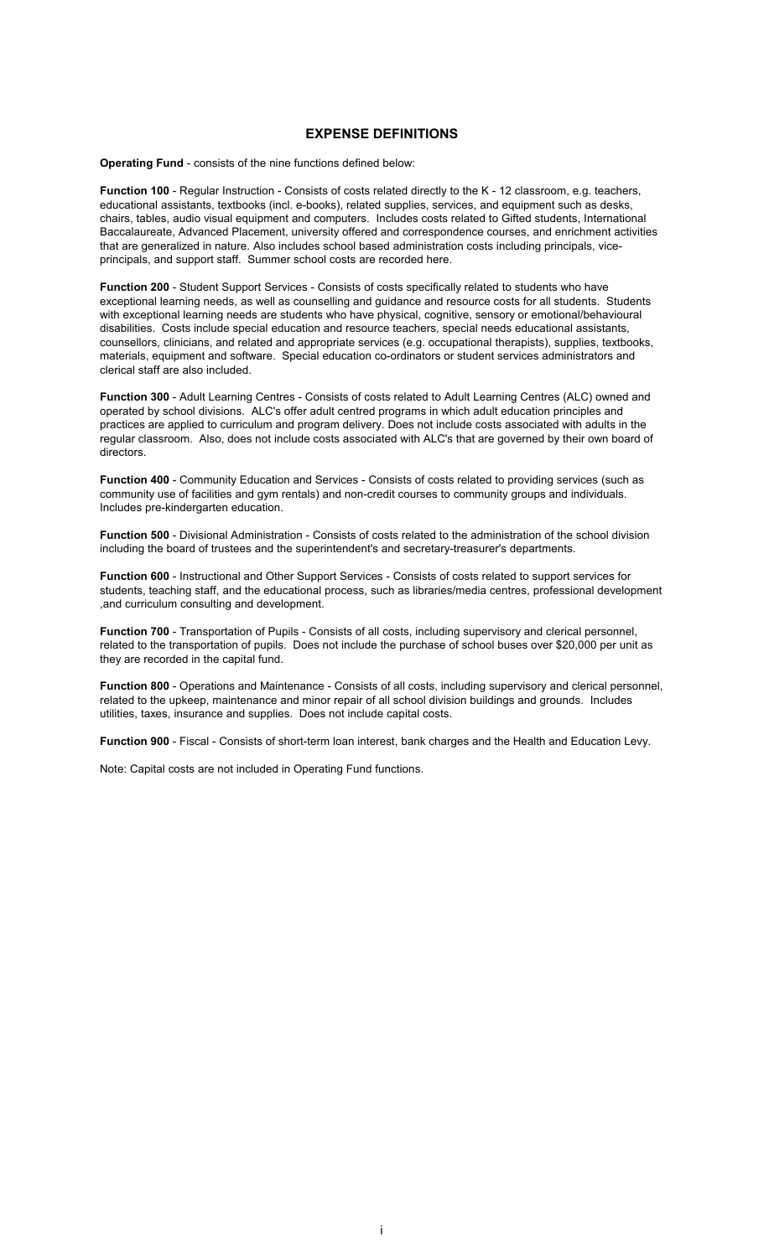#### **EXPENSE DEFINITIONS**

**Operating Fund** - consists of the nine functions defined below:

**Function 100** - Regular Instruction - Consists of costs related directly to the K - 12 classroom, e.g. teachers, educational assistants, textbooks (incl. e-books), related supplies, services, and equipment such as desks, chairs, tables, audio visual equipment and computers. Includes costs related to Gifted students, International Baccalaureate, Advanced Placement, university offered and correspondence courses, and enrichment activities that are generalized in nature. Also includes school based administration costs including principals, viceprincipals, and support staff. Summer school costs are recorded here.

**Function 200** - Student Support Services - Consists of costs specifically related to students who have exceptional learning needs, as well as counselling and guidance and resource costs for all students. Students with exceptional learning needs are students who have physical, cognitive, sensory or emotional/behavioural disabilities. Costs include special education and resource teachers, special needs educational assistants, counsellors, clinicians, and related and appropriate services (e.g. occupational therapists), supplies, textbooks, materials, equipment and software. Special education co-ordinators or student services administrators and clerical staff are also included.

**Function 300** - Adult Learning Centres - Consists of costs related to Adult Learning Centres (ALC) owned and operated by school divisions. ALC's offer adult centred programs in which adult education principles and practices are applied to curriculum and program delivery. Does not include costs associated with adults in the regular classroom. Also, does not include costs associated with ALC's that are governed by their own board of directors.

**Function 400** - Community Education and Services - Consists of costs related to providing services (such as community use of facilities and gym rentals) and non-credit courses to community groups and individuals. Includes pre-kindergarten education.

**Function 500** - Divisional Administration - Consists of costs related to the administration of the school division including the board of trustees and the superintendent's and secretary-treasurer's departments.

**Function 600** - Instructional and Other Support Services - Consists of costs related to support services for students, teaching staff, and the educational process, such as libraries/media centres, professional development ,and curriculum consulting and development.

**Function 700** - Transportation of Pupils - Consists of all costs, including supervisory and clerical personnel, related to the transportation of pupils. Does not include the purchase of school buses over \$20,000 per unit as they are recorded in the capital fund.

**Function 800** - Operations and Maintenance - Consists of all costs, including supervisory and clerical personnel, related to the upkeep, maintenance and minor repair of all school division buildings and grounds. Includes utilities, taxes, insurance and supplies. Does not include capital costs.

**Function 900** - Fiscal - Consists of short-term loan interest, bank charges and the Health and Education Levy.

Note: Capital costs are not included in Operating Fund functions.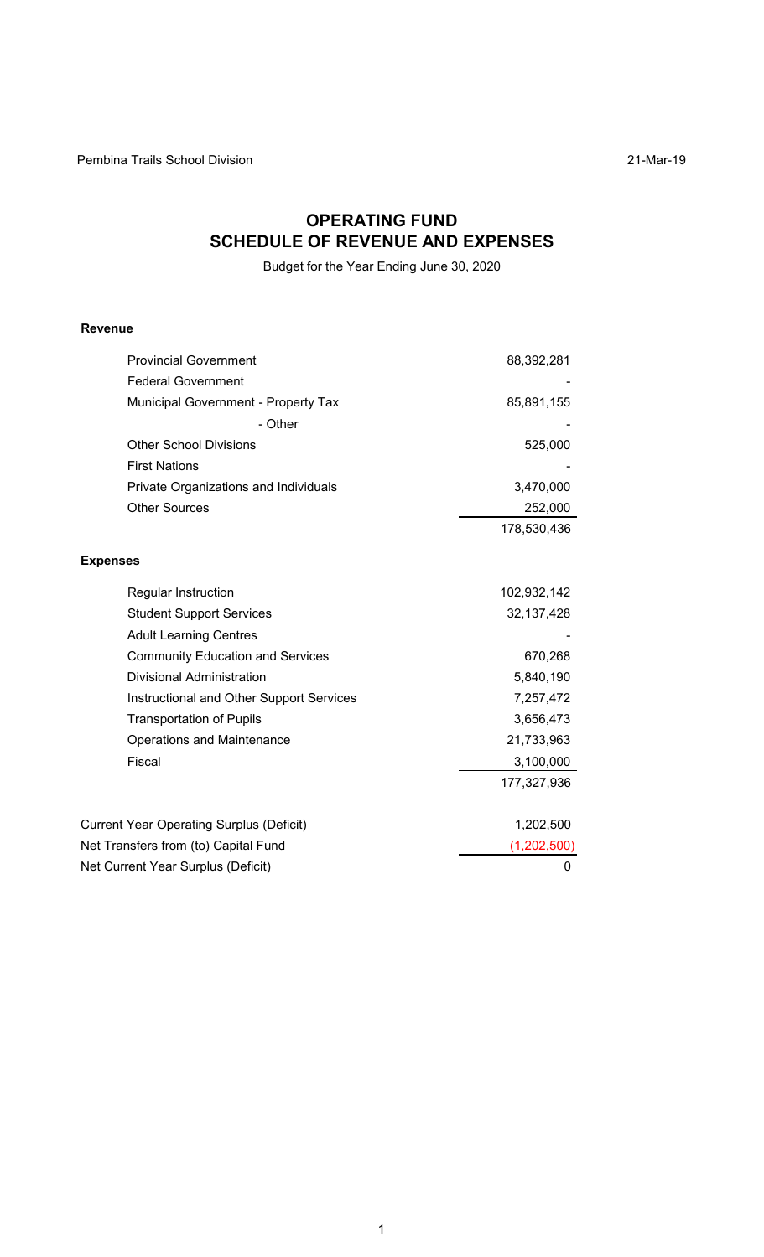# **OPERATING FUND SCHEDULE OF REVENUE AND EXPENSES**

Budget for the Year Ending June 30, 2020

## **Revenue**

| <b>Provincial Government</b>                    | 88,392,281   |
|-------------------------------------------------|--------------|
| <b>Federal Government</b>                       |              |
| Municipal Government - Property Tax             | 85,891,155   |
| - Other                                         |              |
| <b>Other School Divisions</b>                   | 525,000      |
| <b>First Nations</b>                            |              |
| Private Organizations and Individuals           | 3,470,000    |
| <b>Other Sources</b>                            | 252,000      |
|                                                 | 178,530,436  |
| <b>Expenses</b>                                 |              |
| Regular Instruction                             | 102,932,142  |
| <b>Student Support Services</b>                 | 32, 137, 428 |
| <b>Adult Learning Centres</b>                   |              |
| <b>Community Education and Services</b>         | 670,268      |
| <b>Divisional Administration</b>                | 5,840,190    |
| Instructional and Other Support Services        | 7,257,472    |
| <b>Transportation of Pupils</b>                 | 3,656,473    |
| <b>Operations and Maintenance</b>               | 21,733,963   |
| Fiscal                                          | 3,100,000    |
|                                                 | 177,327,936  |
| <b>Current Year Operating Surplus (Deficit)</b> | 1,202,500    |
| Net Transfers from (to) Capital Fund            | (1,202,500)  |
| Net Current Year Surplus (Deficit)              | 0            |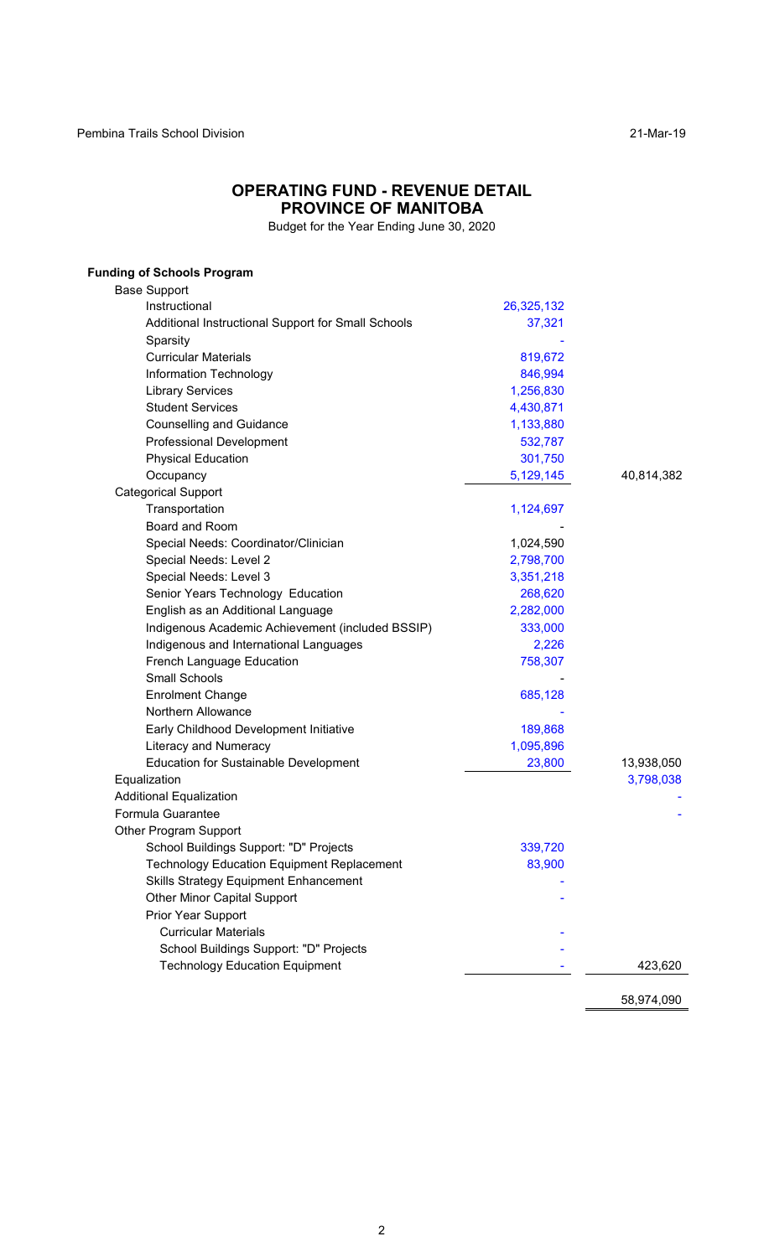## **OPERATING FUND - REVENUE DETAIL PROVINCE OF MANITOBA**

Budget for the Year Ending June 30, 2020

| <b>Funding of Schools Program</b>                  |            |            |
|----------------------------------------------------|------------|------------|
| <b>Base Support</b>                                |            |            |
| Instructional                                      | 26,325,132 |            |
| Additional Instructional Support for Small Schools | 37,321     |            |
| Sparsity                                           |            |            |
| <b>Curricular Materials</b>                        | 819,672    |            |
| Information Technology                             | 846,994    |            |
| <b>Library Services</b>                            | 1,256,830  |            |
| <b>Student Services</b>                            | 4,430,871  |            |
| <b>Counselling and Guidance</b>                    | 1,133,880  |            |
| <b>Professional Development</b>                    | 532,787    |            |
| <b>Physical Education</b>                          | 301,750    |            |
| Occupancy                                          | 5,129,145  | 40,814,382 |
| <b>Categorical Support</b>                         |            |            |
| Transportation                                     | 1,124,697  |            |
| Board and Room                                     |            |            |
| Special Needs: Coordinator/Clinician               | 1,024,590  |            |
| Special Needs: Level 2                             | 2,798,700  |            |
| Special Needs: Level 3                             | 3,351,218  |            |
| Senior Years Technology Education                  | 268,620    |            |
| English as an Additional Language                  | 2,282,000  |            |
| Indigenous Academic Achievement (included BSSIP)   | 333,000    |            |
| Indigenous and International Languages             | 2,226      |            |
| French Language Education                          | 758,307    |            |
| <b>Small Schools</b>                               |            |            |
| <b>Enrolment Change</b>                            | 685,128    |            |
| Northern Allowance                                 |            |            |
| Early Childhood Development Initiative             | 189,868    |            |
| <b>Literacy and Numeracy</b>                       | 1,095,896  |            |
| <b>Education for Sustainable Development</b>       | 23,800     | 13,938,050 |
| Equalization                                       |            | 3,798,038  |
| <b>Additional Equalization</b>                     |            |            |
| Formula Guarantee                                  |            |            |
| <b>Other Program Support</b>                       |            |            |
| School Buildings Support: "D" Projects             | 339,720    |            |
| <b>Technology Education Equipment Replacement</b>  | 83,900     |            |
| <b>Skills Strategy Equipment Enhancement</b>       |            |            |
| <b>Other Minor Capital Support</b>                 |            |            |
| Prior Year Support                                 |            |            |
| <b>Curricular Materials</b>                        |            |            |
| School Buildings Support: "D" Projects             |            |            |
| <b>Technology Education Equipment</b>              |            | 423,620    |
|                                                    |            |            |

58,974,090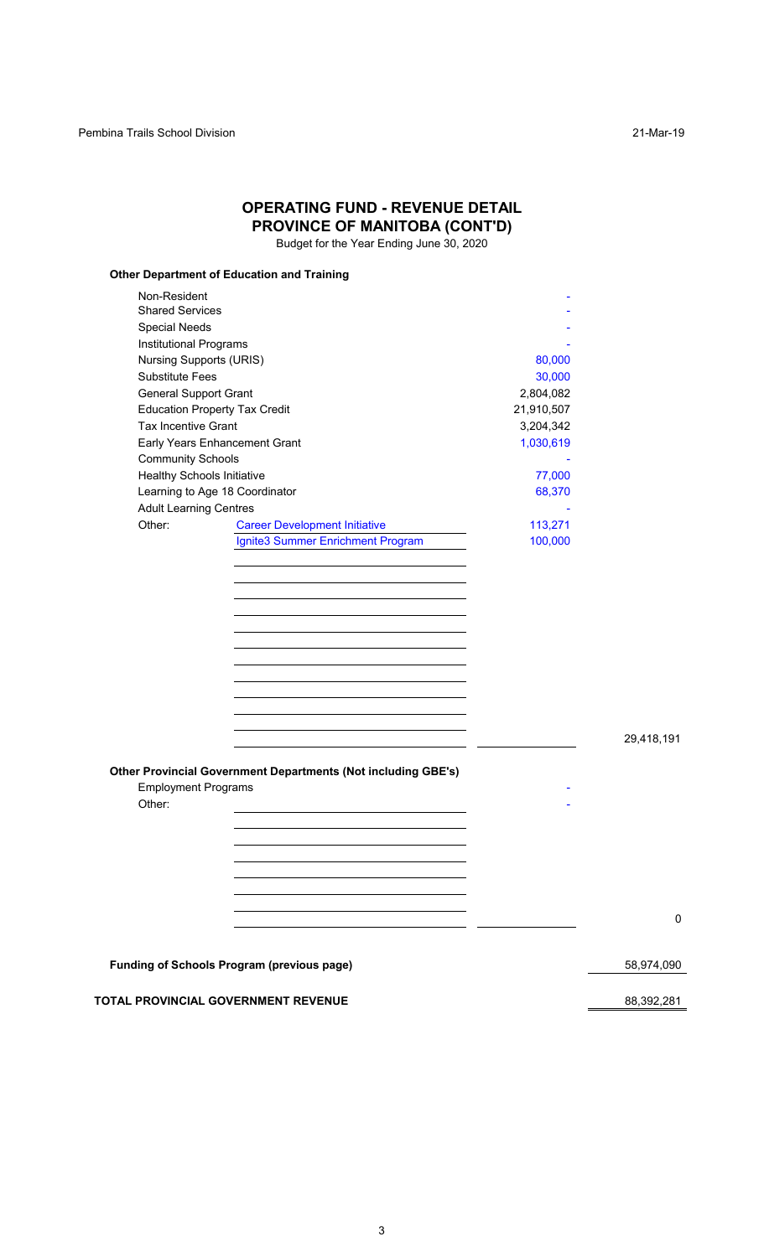| Non-Resident<br><b>Shared Services</b><br><b>Special Needs</b><br>Institutional Programs<br><b>Nursing Supports (URIS)</b><br><b>Substitute Fees</b><br><b>General Support Grant</b><br>2,804,082<br><b>Education Property Tax Credit</b><br>21,910,507<br>Tax Incentive Grant<br>3,204,342<br>Early Years Enhancement Grant<br>1,030,619<br><b>Community Schools</b><br><b>Healthy Schools Initiative</b><br>Learning to Age 18 Coordinator<br><b>Adult Learning Centres</b><br>Other:<br><b>Career Development Initiative</b><br>113,271<br>Ignite3 Summer Enrichment Program<br>100,000<br>Other Provincial Government Departments (Not including GBE's)<br><b>Employment Programs</b><br>Other: |        |            |
|-----------------------------------------------------------------------------------------------------------------------------------------------------------------------------------------------------------------------------------------------------------------------------------------------------------------------------------------------------------------------------------------------------------------------------------------------------------------------------------------------------------------------------------------------------------------------------------------------------------------------------------------------------------------------------------------------------|--------|------------|
|                                                                                                                                                                                                                                                                                                                                                                                                                                                                                                                                                                                                                                                                                                     |        |            |
|                                                                                                                                                                                                                                                                                                                                                                                                                                                                                                                                                                                                                                                                                                     |        |            |
|                                                                                                                                                                                                                                                                                                                                                                                                                                                                                                                                                                                                                                                                                                     |        |            |
|                                                                                                                                                                                                                                                                                                                                                                                                                                                                                                                                                                                                                                                                                                     | 80,000 |            |
|                                                                                                                                                                                                                                                                                                                                                                                                                                                                                                                                                                                                                                                                                                     | 30,000 |            |
|                                                                                                                                                                                                                                                                                                                                                                                                                                                                                                                                                                                                                                                                                                     |        |            |
|                                                                                                                                                                                                                                                                                                                                                                                                                                                                                                                                                                                                                                                                                                     |        |            |
|                                                                                                                                                                                                                                                                                                                                                                                                                                                                                                                                                                                                                                                                                                     |        |            |
|                                                                                                                                                                                                                                                                                                                                                                                                                                                                                                                                                                                                                                                                                                     |        |            |
|                                                                                                                                                                                                                                                                                                                                                                                                                                                                                                                                                                                                                                                                                                     |        |            |
|                                                                                                                                                                                                                                                                                                                                                                                                                                                                                                                                                                                                                                                                                                     | 77,000 |            |
|                                                                                                                                                                                                                                                                                                                                                                                                                                                                                                                                                                                                                                                                                                     | 68,370 |            |
|                                                                                                                                                                                                                                                                                                                                                                                                                                                                                                                                                                                                                                                                                                     |        |            |
|                                                                                                                                                                                                                                                                                                                                                                                                                                                                                                                                                                                                                                                                                                     |        |            |
|                                                                                                                                                                                                                                                                                                                                                                                                                                                                                                                                                                                                                                                                                                     |        |            |
|                                                                                                                                                                                                                                                                                                                                                                                                                                                                                                                                                                                                                                                                                                     |        |            |
|                                                                                                                                                                                                                                                                                                                                                                                                                                                                                                                                                                                                                                                                                                     |        |            |
|                                                                                                                                                                                                                                                                                                                                                                                                                                                                                                                                                                                                                                                                                                     |        |            |
|                                                                                                                                                                                                                                                                                                                                                                                                                                                                                                                                                                                                                                                                                                     |        |            |
|                                                                                                                                                                                                                                                                                                                                                                                                                                                                                                                                                                                                                                                                                                     |        |            |
|                                                                                                                                                                                                                                                                                                                                                                                                                                                                                                                                                                                                                                                                                                     |        |            |
|                                                                                                                                                                                                                                                                                                                                                                                                                                                                                                                                                                                                                                                                                                     |        |            |
|                                                                                                                                                                                                                                                                                                                                                                                                                                                                                                                                                                                                                                                                                                     |        |            |
|                                                                                                                                                                                                                                                                                                                                                                                                                                                                                                                                                                                                                                                                                                     |        |            |
|                                                                                                                                                                                                                                                                                                                                                                                                                                                                                                                                                                                                                                                                                                     |        |            |
|                                                                                                                                                                                                                                                                                                                                                                                                                                                                                                                                                                                                                                                                                                     |        |            |
|                                                                                                                                                                                                                                                                                                                                                                                                                                                                                                                                                                                                                                                                                                     |        | 29,418,191 |
|                                                                                                                                                                                                                                                                                                                                                                                                                                                                                                                                                                                                                                                                                                     |        |            |
|                                                                                                                                                                                                                                                                                                                                                                                                                                                                                                                                                                                                                                                                                                     |        |            |
|                                                                                                                                                                                                                                                                                                                                                                                                                                                                                                                                                                                                                                                                                                     |        |            |
|                                                                                                                                                                                                                                                                                                                                                                                                                                                                                                                                                                                                                                                                                                     |        |            |
|                                                                                                                                                                                                                                                                                                                                                                                                                                                                                                                                                                                                                                                                                                     |        |            |
|                                                                                                                                                                                                                                                                                                                                                                                                                                                                                                                                                                                                                                                                                                     |        |            |
|                                                                                                                                                                                                                                                                                                                                                                                                                                                                                                                                                                                                                                                                                                     |        |            |
|                                                                                                                                                                                                                                                                                                                                                                                                                                                                                                                                                                                                                                                                                                     |        |            |
|                                                                                                                                                                                                                                                                                                                                                                                                                                                                                                                                                                                                                                                                                                     |        |            |
|                                                                                                                                                                                                                                                                                                                                                                                                                                                                                                                                                                                                                                                                                                     |        |            |
|                                                                                                                                                                                                                                                                                                                                                                                                                                                                                                                                                                                                                                                                                                     |        |            |
|                                                                                                                                                                                                                                                                                                                                                                                                                                                                                                                                                                                                                                                                                                     |        |            |
|                                                                                                                                                                                                                                                                                                                                                                                                                                                                                                                                                                                                                                                                                                     |        |            |

**OPERATING FUND - REVENUE DETAIL PROVINCE OF MANITOBA (CONT'D)**

**TOTAL PROVINCIAL GOVERNMENT REVENUE 88,392,281**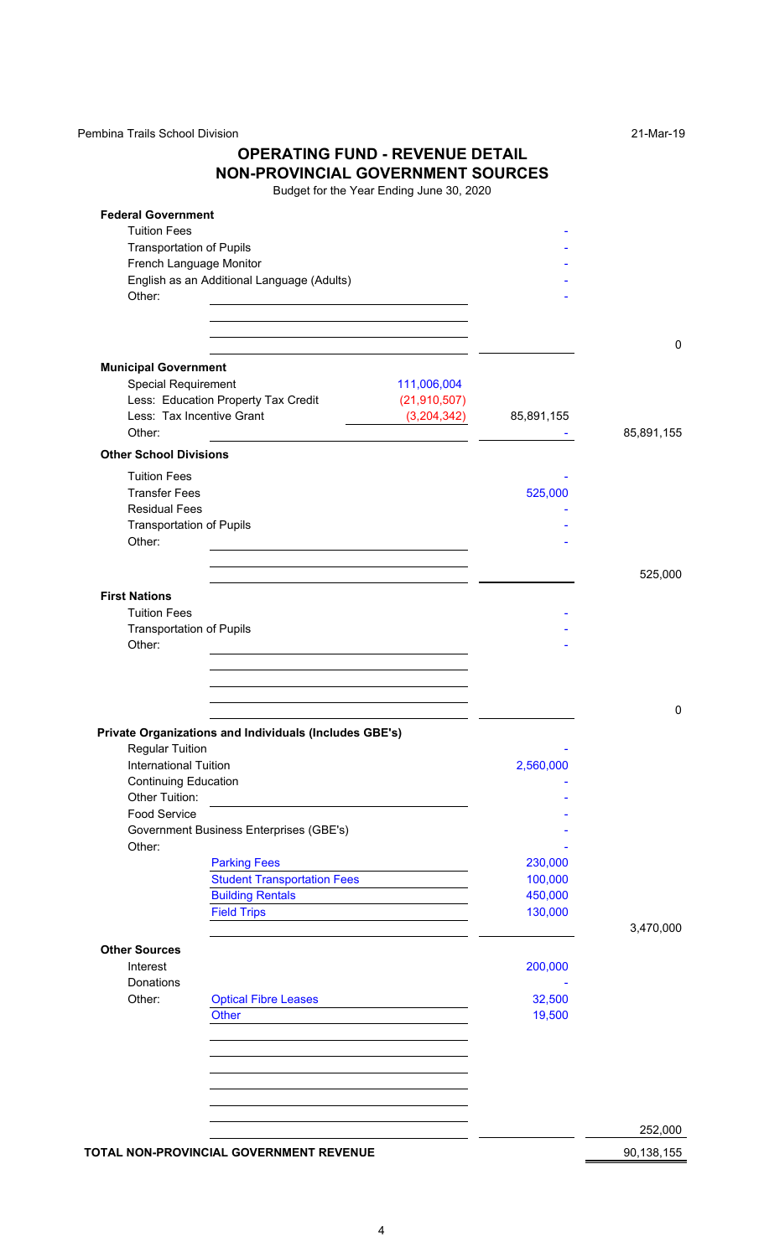Pembina Trails School Division 21-Mar-19

# **OPERATING FUND - REVENUE DETAIL NON-PROVINCIAL GOVERNMENT SOURCES**

| <b>Federal Government</b>                 |                                                                            |            |            |
|-------------------------------------------|----------------------------------------------------------------------------|------------|------------|
| <b>Tuition Fees</b>                       |                                                                            |            |            |
| <b>Transportation of Pupils</b>           |                                                                            |            |            |
| French Language Monitor                   |                                                                            |            |            |
|                                           | English as an Additional Language (Adults)                                 |            |            |
| Other:                                    | <u> 1989 - Andrea Station Barbara, amerikan personal (h. 1989)</u>         |            |            |
|                                           |                                                                            |            |            |
|                                           |                                                                            |            | 0          |
| <b>Municipal Government</b>               |                                                                            |            |            |
| <b>Special Requirement</b>                | 111,006,004                                                                |            |            |
|                                           | Less: Education Property Tax Credit<br>(21, 910, 507)                      |            |            |
| Less: Tax Incentive Grant                 | (3,204,342)                                                                | 85,891,155 |            |
| Other:                                    | <u> 1980 - Andrea Andrew Maria (b. 1980)</u>                               |            | 85,891,155 |
| <b>Other School Divisions</b>             |                                                                            |            |            |
| <b>Tuition Fees</b>                       |                                                                            |            |            |
| <b>Transfer Fees</b>                      |                                                                            | 525,000    |            |
| <b>Residual Fees</b>                      |                                                                            |            |            |
| <b>Transportation of Pupils</b>           |                                                                            |            |            |
| Other:                                    | <u> 1989 - Johann Stein, mars an deus Amerikaansk kommunister (* 1958)</u> |            |            |
|                                           |                                                                            |            |            |
|                                           |                                                                            |            | 525,000    |
| <b>First Nations</b>                      |                                                                            |            |            |
| <b>Tuition Fees</b>                       |                                                                            |            |            |
| <b>Transportation of Pupils</b><br>Other: |                                                                            |            |            |
|                                           |                                                                            |            |            |
|                                           | Private Organizations and Individuals (Includes GBE's)                     |            | $\Omega$   |
| <b>Regular Tuition</b>                    |                                                                            |            |            |
| <b>International Tuition</b>              |                                                                            | 2,560,000  |            |
| <b>Continuing Education</b>               |                                                                            |            |            |
| Other Tuition:                            |                                                                            |            |            |
| <b>Food Service</b>                       |                                                                            |            |            |
|                                           | Government Business Enterprises (GBE's)                                    |            |            |
| Other:                                    |                                                                            |            |            |
|                                           | <b>Parking Fees</b>                                                        | 230,000    |            |
|                                           | <b>Student Transportation Fees</b><br><b>Building Rentals</b>              | 100,000    |            |
|                                           |                                                                            | 450,000    |            |
|                                           | <b>Field Trips</b>                                                         | 130,000    | 3,470,000  |
| <b>Other Sources</b>                      |                                                                            |            |            |
| Interest                                  |                                                                            | 200,000    |            |
| Donations                                 |                                                                            |            |            |
| Other:                                    | <b>Optical Fibre Leases</b>                                                | 32,500     |            |
|                                           | <b>Other</b>                                                               | 19,500     |            |
|                                           |                                                                            |            |            |
|                                           |                                                                            |            |            |
|                                           |                                                                            |            |            |
|                                           |                                                                            |            |            |
|                                           |                                                                            |            |            |
|                                           |                                                                            |            | 252,000    |
|                                           | TOTAL NON-PROVINCIAL GOVERNMENT REVENUE                                    |            | 90,138,155 |
|                                           |                                                                            |            |            |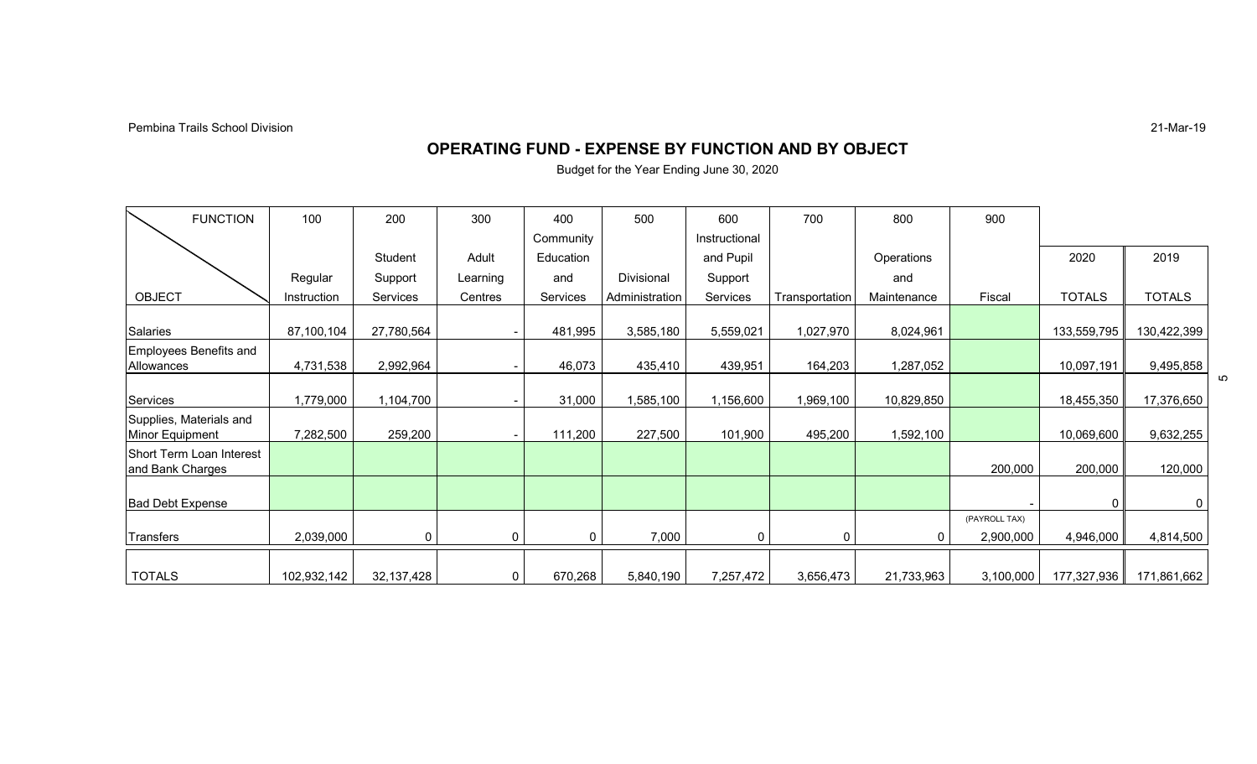21-Mar-19

## **OPERATING FUND - EXPENSE BY FUNCTION AND BY OBJECT**

| <b>FUNCTION</b>                              | 100         | 200        | 300      | 400       | 500            | 600           | 700            | 800         | 900                        |               |               |   |
|----------------------------------------------|-------------|------------|----------|-----------|----------------|---------------|----------------|-------------|----------------------------|---------------|---------------|---|
|                                              |             |            |          | Community |                | Instructional |                |             |                            |               |               |   |
|                                              |             | Student    | Adult    | Education |                | and Pupil     |                | Operations  |                            | 2020          | 2019          |   |
|                                              | Regular     | Support    | Learning | and       | Divisional     | Support       |                | and         |                            |               |               |   |
| <b>OBJECT</b>                                | Instruction | Services   | Centres  | Services  | Administration | Services      | Transportation | Maintenance | Fiscal                     | <b>TOTALS</b> | <b>TOTALS</b> |   |
| Salaries                                     | 87,100,104  | 27,780,564 |          | 481,995   | 3,585,180      | 5,559,021     | 1,027,970      | 8,024,961   |                            | 133,559,795   | 130,422,399   |   |
| Employees Benefits and<br>Allowances         | 4,731,538   | 2,992,964  |          | 46,073    | 435,410        | 439,951       | 164,203        | 1,287,052   |                            | 10,097,191    | 9,495,858     |   |
| Services                                     | 1,779,000   | 1,104,700  |          | 31,000    | 1,585,100      | 1,156,600     | 1,969,100      | 10,829,850  |                            | 18,455,350    | 17,376,650    | 5 |
| Supplies, Materials and<br>Minor Equipment   | 7,282,500   | 259,200    |          | 111,200   | 227,500        | 101,900       | 495,200        | 1,592,100   |                            | 10,069,600    | 9,632,255     |   |
| Short Term Loan Interest<br>and Bank Charges |             |            |          |           |                |               |                |             | 200,000                    | 200,000       | 120,000       |   |
| <b>Bad Debt Expense</b>                      |             |            |          |           |                |               |                |             |                            |               | $\Omega$      |   |
| Transfers                                    | 2,039,000   | 0          | 0        | 0         | 7,000          |               | $\mathsf{C}$   | $\Omega$    | (PAYROLL TAX)<br>2,900,000 | 4,946,000     | 4,814,500     |   |
| <b>TOTALS</b>                                | 102,932,142 | 32,137,428 | 0        | 670,268   | 5,840,190      | 7,257,472     | 3,656,473      | 21,733,963  | 3,100,000                  | 177,327,936   | 171,861,662   |   |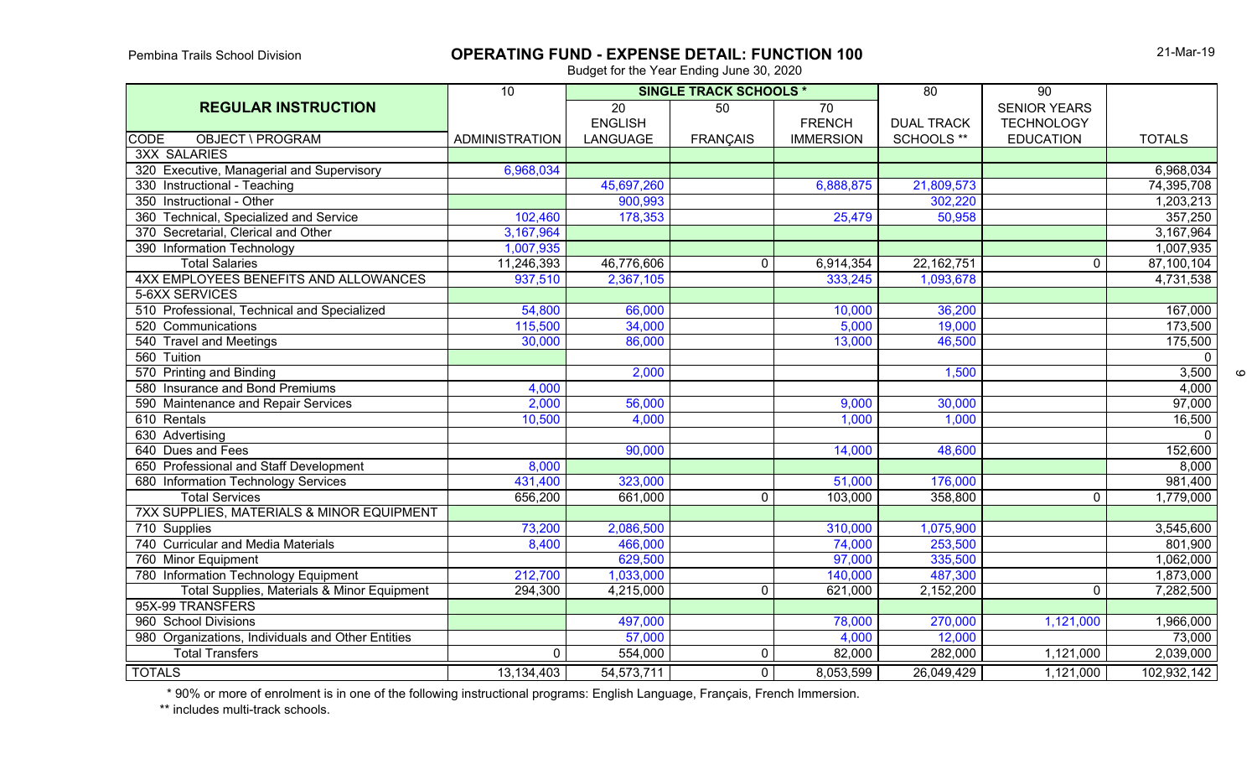# **OPERATING FUND - EXPENSE DETAIL: FUNCTION 100**

Budget for the Year Ending June 30, 2020

|                                                   | $\overline{10}$       | <b>SINGLE TRACK SCHOOLS *</b> |                 |                  | $\overline{80}$   | $\overline{90}$     |                    |
|---------------------------------------------------|-----------------------|-------------------------------|-----------------|------------------|-------------------|---------------------|--------------------|
| <b>REGULAR INSTRUCTION</b>                        |                       | $\overline{20}$               | 50              | 70               |                   | <b>SENIOR YEARS</b> |                    |
|                                                   |                       | <b>ENGLISH</b>                |                 | <b>FRENCH</b>    | <b>DUAL TRACK</b> | <b>TECHNOLOGY</b>   |                    |
| <b>OBJECT \ PROGRAM</b><br><b>CODE</b>            | <b>ADMINISTRATION</b> | LANGUAGE                      | <b>FRANÇAIS</b> | <b>IMMERSION</b> | SCHOOLS **        | <b>EDUCATION</b>    | <b>TOTALS</b>      |
| <b>3XX SALARIES</b>                               |                       |                               |                 |                  |                   |                     |                    |
| 320 Executive, Managerial and Supervisory         | 6,968,034             |                               |                 |                  |                   |                     | 6,968,034          |
| 330 Instructional - Teaching                      |                       | 45,697,260                    |                 | 6,888,875        | 21,809,573        |                     | 74,395,708         |
| 350 Instructional - Other                         |                       | 900,993                       |                 |                  | 302,220           |                     | 1,203,213          |
| 360 Technical, Specialized and Service            | 102,460               | 178,353                       |                 | 25,479           | 50,958            |                     | 357,250            |
| 370 Secretarial, Clerical and Other               | 3,167,964             |                               |                 |                  |                   |                     | 3,167,964          |
| 390 Information Technology                        | 1,007,935             |                               |                 |                  |                   |                     | 1,007,935          |
| <b>Total Salaries</b>                             | 11,246,393            | 46,776,606                    | $\mathbf{0}$    | 6,914,354        | 22, 162, 751      | $\mathbf 0$         | 87,100,104         |
| 4XX EMPLOYEES BENEFITS AND ALLOWANCES             | 937,510               | 2,367,105                     |                 | 333,245          | 1,093,678         |                     | 4,731,538          |
| 5-6XX SERVICES                                    |                       |                               |                 |                  |                   |                     |                    |
| 510 Professional, Technical and Specialized       | 54,800                | 66,000                        |                 | 10,000           | 36,200            |                     | 167,000            |
| 520 Communications                                | 115,500               | 34,000                        |                 | 5,000            | 19,000            |                     | 173,500            |
| 540 Travel and Meetings                           | 30,000                | 86,000                        |                 | 13,000           | 46,500            |                     | 175,500            |
| 560 Tuition                                       |                       |                               |                 |                  |                   |                     | $\overline{0}$     |
| 570 Printing and Binding                          |                       | 2,000                         |                 |                  | 1,500             |                     | 3,500              |
| 580 Insurance and Bond Premiums                   | 4,000                 |                               |                 |                  |                   |                     | 4,000              |
| 590 Maintenance and Repair Services               | 2,000                 | 56,000                        |                 | 9,000            | 30,000            |                     | 97,000             |
| 610 Rentals                                       | 10,500                | 4,000                         |                 | 1,000            | 1,000             |                     | 16,500             |
| 630 Advertising                                   |                       |                               |                 |                  |                   |                     | $\overline{\circ}$ |
| 640 Dues and Fees                                 |                       | 90,000                        |                 | 14,000           | 48,600            |                     | 152,600            |
| 650 Professional and Staff Development            | 8,000                 |                               |                 |                  |                   |                     | 8,000              |
| 680 Information Technology Services               | 431,400               | 323,000                       |                 | 51,000           | 176,000           |                     | 981,400            |
| <b>Total Services</b>                             | 656,200               | 661,000                       | $\mathbf{0}$    | 103,000          | 358,800           | $\mathbf 0$         | 1,779,000          |
| 7XX SUPPLIES, MATERIALS & MINOR EQUIPMENT         |                       |                               |                 |                  |                   |                     |                    |
| 710 Supplies                                      | 73,200                | 2,086,500                     |                 | 310,000          | 1,075,900         |                     | 3,545,600          |
| 740 Curricular and Media Materials                | 8,400                 | 466,000                       |                 | 74,000           | 253,500           |                     | 801,900            |
| 760 Minor Equipment                               |                       | 629,500                       |                 | 97,000           | 335,500           |                     | 1,062,000          |
| 780 Information Technology Equipment              | 212,700               | 1,033,000                     |                 | 140,000          | 487,300           |                     | 1,873,000          |
| Total Supplies, Materials & Minor Equipment       | 294,300               | 4,215,000                     | $\mathbf{0}$    | 621,000          | 2,152,200         | $\Omega$            | 7,282,500          |
| 95X-99 TRANSFERS                                  |                       |                               |                 |                  |                   |                     |                    |
| 960 School Divisions                              |                       | 497,000                       |                 | 78,000           | 270,000           | 1,121,000           | 1,966,000          |
| 980 Organizations, Individuals and Other Entities |                       | 57,000                        |                 | 4,000            | 12,000            |                     | 73,000             |
| <b>Total Transfers</b>                            | $\Omega$              | 554,000                       | $\mathbf 0$     | 82,000           | 282,000           | 1,121,000           | 2,039,000          |
| <b>TOTALS</b>                                     | 13,134,403            | 54, 573, 711                  | $\overline{0}$  | 8,053,599        | 26,049,429        | 1,121,000           | 102,932,142        |

\* 90% or more of enrolment is in one of the following instructional programs: English Language, Français, French Immersion.

\*\* includes multi-track schools.

 $\circ$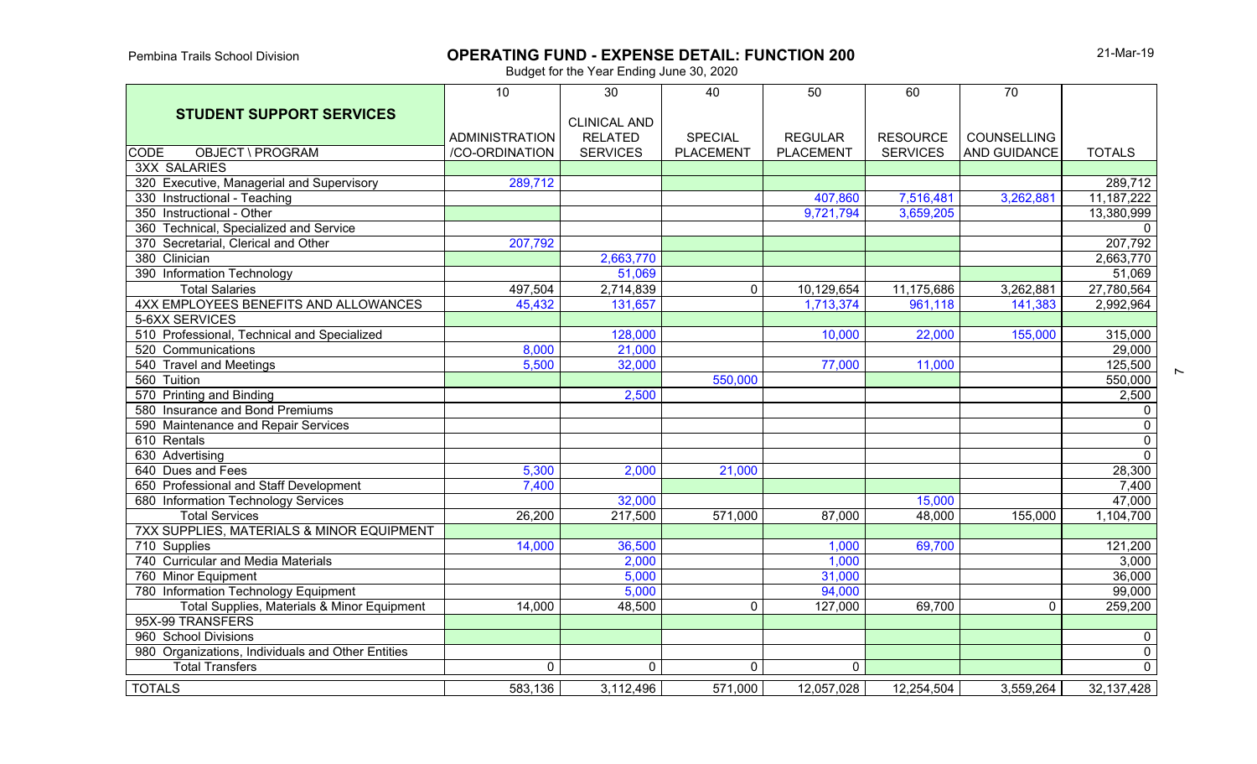# **OPERATING FUND - EXPENSE DETAIL: FUNCTION 200**

21-Mar-19

 $\sim$ 

|                                                      | 10 <sup>°</sup>       | 30                                    | 40               | 50               | 60              | 70                  |                         |
|------------------------------------------------------|-----------------------|---------------------------------------|------------------|------------------|-----------------|---------------------|-------------------------|
| <b>STUDENT SUPPORT SERVICES</b>                      | <b>ADMINISTRATION</b> | <b>CLINICAL AND</b><br><b>RELATED</b> | <b>SPECIAL</b>   | <b>REGULAR</b>   | <b>RESOURCE</b> | <b>COUNSELLING</b>  |                         |
| <b>CODE</b><br><b>OBJECT \ PROGRAM</b>               | /CO-ORDINATION        | <b>SERVICES</b>                       | <b>PLACEMENT</b> | <b>PLACEMENT</b> | <b>SERVICES</b> | <b>AND GUIDANCE</b> | <b>TOTALS</b>           |
| <b>3XX SALARIES</b>                                  |                       |                                       |                  |                  |                 |                     |                         |
| 320 Executive, Managerial and Supervisory            | 289,712               |                                       |                  |                  |                 |                     | 289,712                 |
| 330 Instructional - Teaching                         |                       |                                       |                  | 407,860          | 7,516,481       | 3,262,881           | 11, 187, 222            |
| 350 Instructional - Other                            |                       |                                       |                  | 9,721,794        | 3,659,205       |                     | 13,380,999              |
| 360 Technical, Specialized and Service               |                       |                                       |                  |                  |                 |                     | $\overline{0}$          |
| 370 Secretarial, Clerical and Other                  | 207,792               |                                       |                  |                  |                 |                     | 207,792                 |
| 380 Clinician                                        |                       | 2,663,770                             |                  |                  |                 |                     | 2,663,770               |
| 390 Information Technology                           |                       | 51,069                                |                  |                  |                 |                     | 51,069                  |
| <b>Total Salaries</b>                                | 497,504               | 2,714,839                             | $\mathbf 0$      | 10,129,654       | 11,175,686      | 3,262,881           | 27,780,564              |
| 4XX EMPLOYEES BENEFITS AND ALLOWANCES                | 45,432                | 131,657                               |                  | 1,713,374        | 961,118         | 141,383             | 2,992,964               |
| 5-6XX SERVICES                                       |                       |                                       |                  |                  |                 |                     |                         |
| 510 Professional, Technical and Specialized          |                       | 128,000                               |                  | 10,000           | 22,000          | 155,000             | 315,000                 |
| 520 Communications                                   | 8,000                 | 21,000                                |                  |                  |                 |                     | 29,000                  |
| 540 Travel and Meetings                              | 5,500                 | 32,000                                |                  | 77,000           | 11,000          |                     | $\overline{125,500}$    |
| 560 Tuition                                          |                       |                                       | 550,000          |                  |                 |                     | 550,000                 |
| 570 Printing and Binding                             |                       | 2,500                                 |                  |                  |                 |                     | 2,500                   |
| 580 Insurance and Bond Premiums                      |                       |                                       |                  |                  |                 |                     | $\mathbf 0$             |
| 590 Maintenance and Repair Services                  |                       |                                       |                  |                  |                 |                     | $\overline{0}$          |
| 610 Rentals                                          |                       |                                       |                  |                  |                 |                     | $\overline{0}$          |
| 630 Advertising                                      |                       |                                       |                  |                  |                 |                     | $\overline{0}$          |
| 640 Dues and Fees                                    | 5,300                 | 2,000                                 | 21,000           |                  |                 |                     | 28,300                  |
| 650 Professional and Staff Development               | 7,400                 |                                       |                  |                  |                 |                     | 7,400                   |
| 680 Information Technology Services                  |                       | 32,000                                |                  |                  | 15,000          |                     | 47,000                  |
| <b>Total Services</b>                                | 26,200                | 217,500                               | 571,000          | 87,000           | 48,000          | 155,000             | 1,104,700               |
| <b>7XX SUPPLIES, MATERIALS &amp; MINOR EQUIPMENT</b> |                       |                                       |                  |                  |                 |                     |                         |
| 710 Supplies                                         | 14,000                | 36,500                                |                  | 1,000            | 69,700          |                     | 121,200                 |
| 740 Curricular and Media Materials                   |                       | 2,000                                 |                  | 1,000            |                 |                     | 3,000                   |
| 760 Minor Equipment                                  |                       | 5,000                                 |                  | 31,000           |                 |                     | 36,000                  |
| 780 Information Technology Equipment                 |                       | 5,000                                 |                  | 94,000           |                 |                     | 99,000                  |
| Total Supplies, Materials & Minor Equipment          | 14,000                | 48,500                                | $\mathbf 0$      | 127,000          | 69,700          | $\mathbf 0$         | 259,200                 |
| 95X-99 TRANSFERS                                     |                       |                                       |                  |                  |                 |                     |                         |
| 960 School Divisions                                 |                       |                                       |                  |                  |                 |                     | $\overline{0}$          |
| 980 Organizations, Individuals and Other Entities    |                       |                                       |                  |                  |                 |                     | $\overline{0}$          |
| <b>Total Transfers</b>                               | 0                     | $\mathbf 0$                           | $\mathbf 0$      | 0                |                 |                     | $\overline{\mathbf{0}}$ |
| <b>TOTALS</b>                                        | 583,136               | 3,112,496                             | 571,000          | 12,057,028       | 12,254,504      | 3,559,264           | 32, 137, 428            |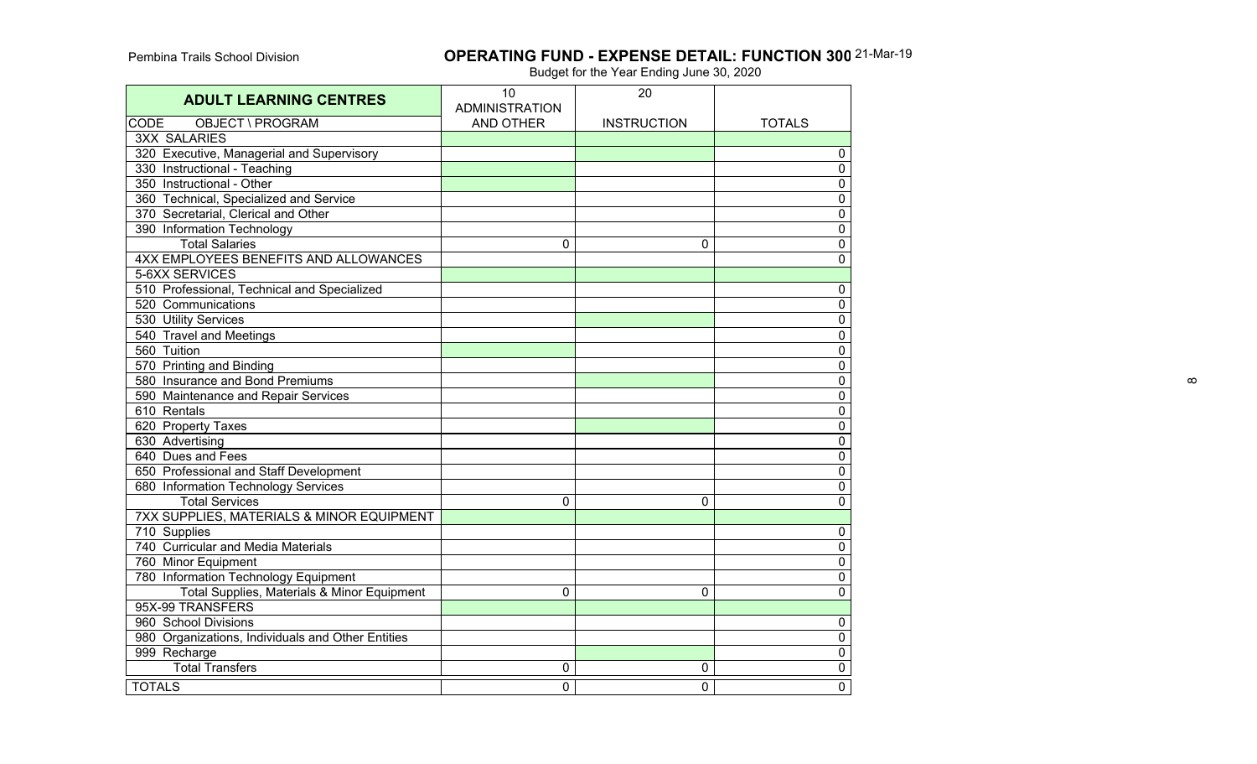## **OPERATING FUND - EXPENSE DETAIL: FUNCTION 300** 21-Mar-19

| <b>ADULT LEARNING CENTRES</b>                     | 10<br><b>ADMINISTRATION</b> | 20                 |                |
|---------------------------------------------------|-----------------------------|--------------------|----------------|
| OBJECT \ PROGRAM<br><b>CODE</b>                   | <b>AND OTHER</b>            | <b>INSTRUCTION</b> | <b>TOTALS</b>  |
| <b>3XX SALARIES</b>                               |                             |                    |                |
| 320 Executive, Managerial and Supervisory         |                             |                    | $\mathbf 0$    |
| 330 Instructional - Teaching                      |                             |                    | 0              |
| 350 Instructional - Other                         |                             |                    | 0              |
| 360 Technical, Specialized and Service            |                             |                    | $\mathbf 0$    |
| 370 Secretarial, Clerical and Other               |                             |                    | $\pmb{0}$      |
| 390 Information Technology                        |                             |                    | 0              |
| <b>Total Salaries</b>                             | 0                           | 0                  | 0              |
| 4XX EMPLOYEES BENEFITS AND ALLOWANCES             |                             |                    | 0              |
| 5-6XX SERVICES                                    |                             |                    |                |
| 510 Professional, Technical and Specialized       |                             |                    | $\pmb{0}$      |
| 520 Communications                                |                             |                    | $\overline{0}$ |
| 530 Utility Services                              |                             |                    | $\pmb{0}$      |
| 540 Travel and Meetings                           |                             |                    | $\overline{0}$ |
| 560 Tuition                                       |                             |                    | $\mathbf 0$    |
| 570 Printing and Binding                          |                             |                    | 0              |
| 580 Insurance and Bond Premiums                   |                             |                    | 0              |
| 590 Maintenance and Repair Services               |                             |                    | $\mathbf 0$    |
| 610 Rentals                                       |                             |                    | 0              |
| 620 Property Taxes                                |                             |                    | 0              |
| 630 Advertising                                   |                             |                    | 0              |
| 640 Dues and Fees                                 |                             |                    | 0              |
| 650 Professional and Staff Development            |                             |                    | $\pmb{0}$      |
| 680 Information Technology Services               |                             |                    | $\pmb{0}$      |
| <b>Total Services</b>                             | $\Omega$                    | $\Omega$           | $\mathbf{0}$   |
| 7XX SUPPLIES, MATERIALS & MINOR EQUIPMENT         |                             |                    |                |
| 710 Supplies                                      |                             |                    | $\pmb{0}$      |
| 740 Curricular and Media Materials                |                             |                    | $\pmb{0}$      |
| 760 Minor Equipment                               |                             |                    | $\pmb{0}$      |
| 780 Information Technology Equipment              |                             |                    | $\mathbf 0$    |
| Total Supplies, Materials & Minor Equipment       | $\Omega$                    | $\Omega$           | 0              |
| 95X-99 TRANSFERS                                  |                             |                    |                |
| 960 School Divisions                              |                             |                    | 0              |
| 980 Organizations, Individuals and Other Entities |                             |                    | $\pmb{0}$      |
| 999 Recharge                                      |                             |                    | $\overline{0}$ |
| Total Transfers                                   | 0                           | 0                  | $\pmb{0}$      |
| <b>TOTALS</b>                                     | 0                           | $\overline{0}$     | $\mathbf 0$    |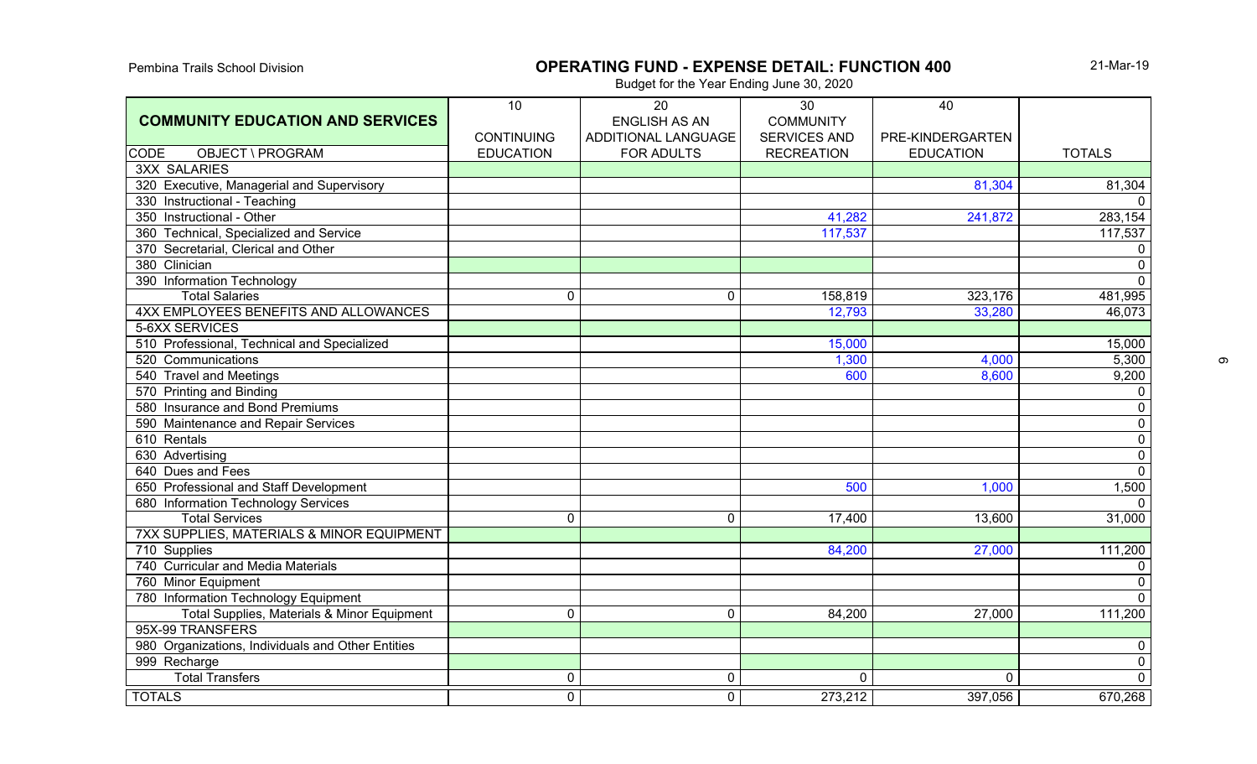# Pembina Trails School Division **COPERATING FUND - EXPENSE DETAIL: FUNCTION 400**

21-Mar-19

|                                                   | 10                | 20                   | 30                  | 40               |                |
|---------------------------------------------------|-------------------|----------------------|---------------------|------------------|----------------|
| <b>COMMUNITY EDUCATION AND SERVICES</b>           |                   | <b>ENGLISH AS AN</b> | <b>COMMUNITY</b>    |                  |                |
|                                                   | <b>CONTINUING</b> | ADDITIONAL LANGUAGE  | <b>SERVICES AND</b> | PRE-KINDERGARTEN |                |
| <b>CODE</b><br>OBJECT \ PROGRAM                   | <b>EDUCATION</b>  | <b>FOR ADULTS</b>    | <b>RECREATION</b>   | <b>EDUCATION</b> | <b>TOTALS</b>  |
| <b>3XX SALARIES</b>                               |                   |                      |                     |                  |                |
| 320 Executive, Managerial and Supervisory         |                   |                      |                     | 81,304           | 81,304         |
| 330 Instructional - Teaching                      |                   |                      |                     |                  | $\Omega$       |
| 350 Instructional - Other                         |                   |                      | 41,282              | 241,872          | 283,154        |
| 360 Technical, Specialized and Service            |                   |                      | 117,537             |                  | 117,537        |
| 370 Secretarial, Clerical and Other               |                   |                      |                     |                  | $\mathbf 0$    |
| 380 Clinician                                     |                   |                      |                     |                  | $\overline{0}$ |
| 390 Information Technology                        |                   |                      |                     |                  | $\overline{0}$ |
| <b>Total Salaries</b>                             | 0                 | $\overline{0}$       | 158,819             | 323,176          | 481,995        |
| 4XX EMPLOYEES BENEFITS AND ALLOWANCES             |                   |                      | 12,793              | 33,280           | 46,073         |
| 5-6XX SERVICES                                    |                   |                      |                     |                  |                |
| 510 Professional, Technical and Specialized       |                   |                      | 15,000              |                  | 15,000         |
| 520 Communications                                |                   |                      | 1,300               | 4,000            | 5,300          |
| 540 Travel and Meetings                           |                   |                      | 600                 | 8,600            | 9,200          |
| 570 Printing and Binding                          |                   |                      |                     |                  | $\mathbf 0$    |
| 580 Insurance and Bond Premiums                   |                   |                      |                     |                  | $\mathsf 0$    |
| 590 Maintenance and Repair Services               |                   |                      |                     |                  | $\overline{0}$ |
| 610 Rentals                                       |                   |                      |                     |                  | $\overline{0}$ |
| 630 Advertising                                   |                   |                      |                     |                  | $\overline{0}$ |
| 640 Dues and Fees                                 |                   |                      |                     |                  | $\overline{0}$ |
| 650 Professional and Staff Development            |                   |                      | 500                 | 1,000            | 1,500          |
| 680 Information Technology Services               |                   |                      |                     |                  | $\overline{0}$ |
| <b>Total Services</b>                             | 0                 | $\mathbf{0}$         | 17,400              | 13,600           | 31,000         |
| 7XX SUPPLIES, MATERIALS & MINOR EQUIPMENT         |                   |                      |                     |                  |                |
| 710 Supplies                                      |                   |                      | 84,200              | 27,000           | 111,200        |
| 740 Curricular and Media Materials                |                   |                      |                     |                  | $\overline{0}$ |
| 760 Minor Equipment                               |                   |                      |                     |                  | $\overline{0}$ |
| 780 Information Technology Equipment              |                   |                      |                     |                  | $\overline{0}$ |
| Total Supplies, Materials & Minor Equipment       | 0                 | $\overline{0}$       | 84,200              | 27,000           | 111,200        |
| 95X-99 TRANSFERS                                  |                   |                      |                     |                  |                |
| 980 Organizations, Individuals and Other Entities |                   |                      |                     |                  | $\mathbf 0$    |
| 999 Recharge                                      |                   |                      |                     |                  | $\overline{0}$ |
| <b>Total Transfers</b>                            | 0                 | $\mathbf 0$          | 0                   | $\overline{0}$   | $\overline{0}$ |
| <b>TOTALS</b>                                     | 0                 | $\mathbf{0}$         | 273,212             | 397,056          | 670,268        |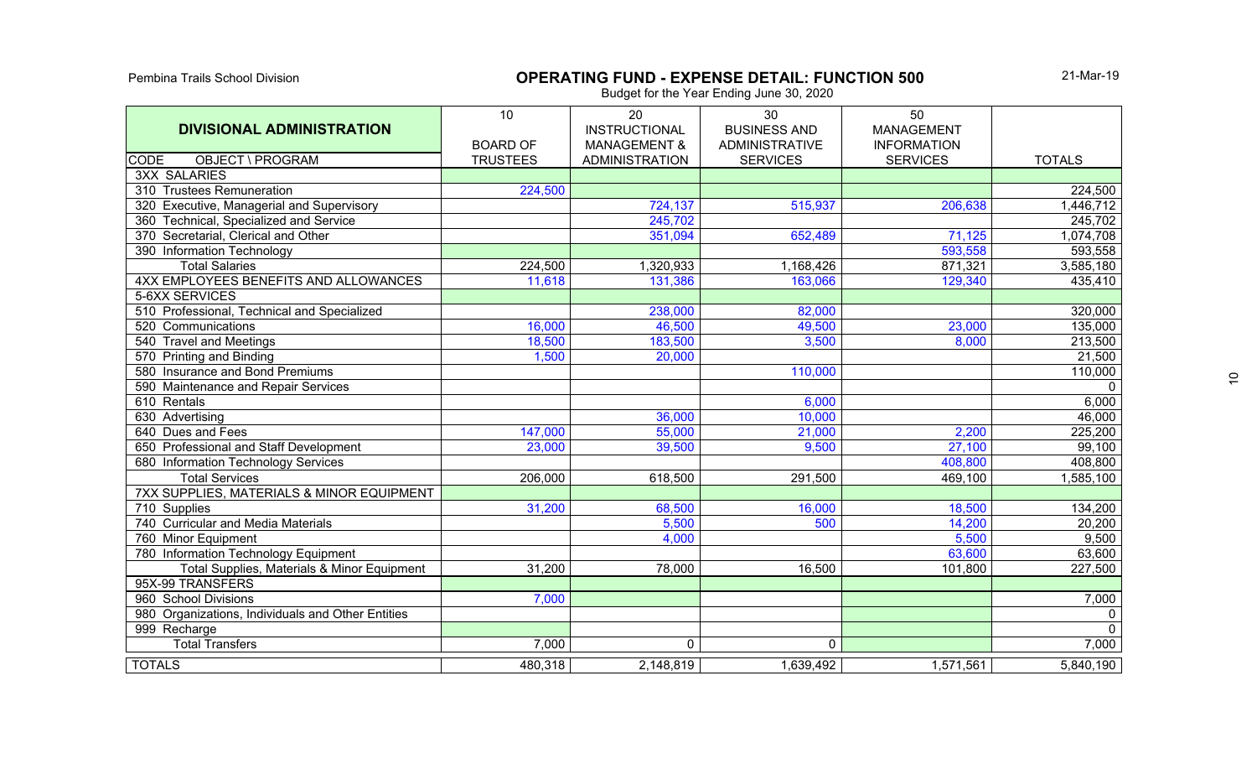#### Pembina Trails School Division **OPERATING FUND - EXPENSE DETAIL: FUNCTION 500**

21-Mar-19

| <b>DIVISIONAL ADMINISTRATION</b>                  | 10                                 | 20<br><b>INSTRUCTIONAL</b>                       | 30<br><b>BUSINESS AND</b>                | 50<br><b>MANAGEMENT</b>               |                      |
|---------------------------------------------------|------------------------------------|--------------------------------------------------|------------------------------------------|---------------------------------------|----------------------|
| <b>CODE</b><br>OBJECT \ PROGRAM                   | <b>BOARD OF</b><br><b>TRUSTEES</b> | <b>MANAGEMENT &amp;</b><br><b>ADMINISTRATION</b> | <b>ADMINISTRATIVE</b><br><b>SERVICES</b> | <b>INFORMATION</b><br><b>SERVICES</b> | <b>TOTALS</b>        |
| <b>3XX SALARIES</b>                               |                                    |                                                  |                                          |                                       |                      |
| 310 Trustees Remuneration                         | 224,500                            |                                                  |                                          |                                       | $\overline{224,500}$ |
| 320 Executive, Managerial and Supervisory         |                                    | 724,137                                          | 515,937                                  | 206,638                               | 1,446,712            |
| 360 Technical, Specialized and Service            |                                    | 245,702                                          |                                          |                                       | 245,702              |
| 370 Secretarial, Clerical and Other               |                                    | 351,094                                          | 652,489                                  | 71,125                                | 1,074,708            |
| 390 Information Technology                        |                                    |                                                  |                                          | 593,558                               | 593,558              |
| <b>Total Salaries</b>                             | 224,500                            | 1,320,933                                        | 1,168,426                                | 871,321                               | 3,585,180            |
| 4XX EMPLOYEES BENEFITS AND ALLOWANCES             | 11,618                             | 131,386                                          | 163,066                                  | 129,340                               | 435,410              |
| 5-6XX SERVICES                                    |                                    |                                                  |                                          |                                       |                      |
| 510 Professional, Technical and Specialized       |                                    | 238,000                                          | 82,000                                   |                                       | 320,000              |
| 520 Communications                                | 16,000                             | 46,500                                           | 49,500                                   | 23,000                                | 135,000              |
| 540 Travel and Meetings                           | 18,500                             | 183,500                                          | 3,500                                    | 8,000                                 | 213,500              |
| 570 Printing and Binding                          | 1,500                              | 20,000                                           |                                          |                                       | $\overline{21,500}$  |
| 580 Insurance and Bond Premiums                   |                                    |                                                  | 110,000                                  |                                       | 110,000              |
| 590 Maintenance and Repair Services               |                                    |                                                  |                                          |                                       | $\overline{0}$       |
| 610 Rentals                                       |                                    |                                                  | 6,000                                    |                                       | 6,000                |
| 630 Advertising                                   |                                    | 36,000                                           | 10,000                                   |                                       | 46,000               |
| 640 Dues and Fees                                 | 147,000                            | 55,000                                           | 21,000                                   | 2,200                                 | 225,200              |
| 650 Professional and Staff Development            | 23,000                             | 39,500                                           | 9,500                                    | 27,100                                | 99,100               |
| 680 Information Technology Services               |                                    |                                                  |                                          | 408,800                               | 408,800              |
| <b>Total Services</b>                             | 206,000                            | 618,500                                          | 291,500                                  | 469,100                               | 1,585,100            |
| 7XX SUPPLIES, MATERIALS & MINOR EQUIPMENT         |                                    |                                                  |                                          |                                       |                      |
| 710 Supplies                                      | 31,200                             | 68,500                                           | 16,000                                   | 18,500                                | 134,200              |
| 740 Curricular and Media Materials                |                                    | 5,500                                            | 500                                      | 14,200                                | 20,200               |
| 760 Minor Equipment                               |                                    | 4,000                                            |                                          | 5,500                                 | 9,500                |
| 780 Information Technology Equipment              |                                    |                                                  |                                          | 63,600                                | 63,600               |
| Total Supplies, Materials & Minor Equipment       | 31,200                             | 78,000                                           | 16,500                                   | 101,800                               | 227,500              |
| 95X-99 TRANSFERS                                  |                                    |                                                  |                                          |                                       |                      |
| 960 School Divisions                              | 7,000                              |                                                  |                                          |                                       | 7,000                |
| 980 Organizations, Individuals and Other Entities |                                    |                                                  |                                          |                                       | $\mathbf 0$          |
| 999 Recharge                                      |                                    |                                                  |                                          |                                       | $\overline{0}$       |
| <b>Total Transfers</b>                            | 7,000                              | $\mathbf 0$                                      | $\overline{0}$                           |                                       | 7,000                |
| <b>TOTALS</b>                                     | 480,318                            | 2,148,819                                        | 1,639,492                                | 1,571,561                             | 5,840,190            |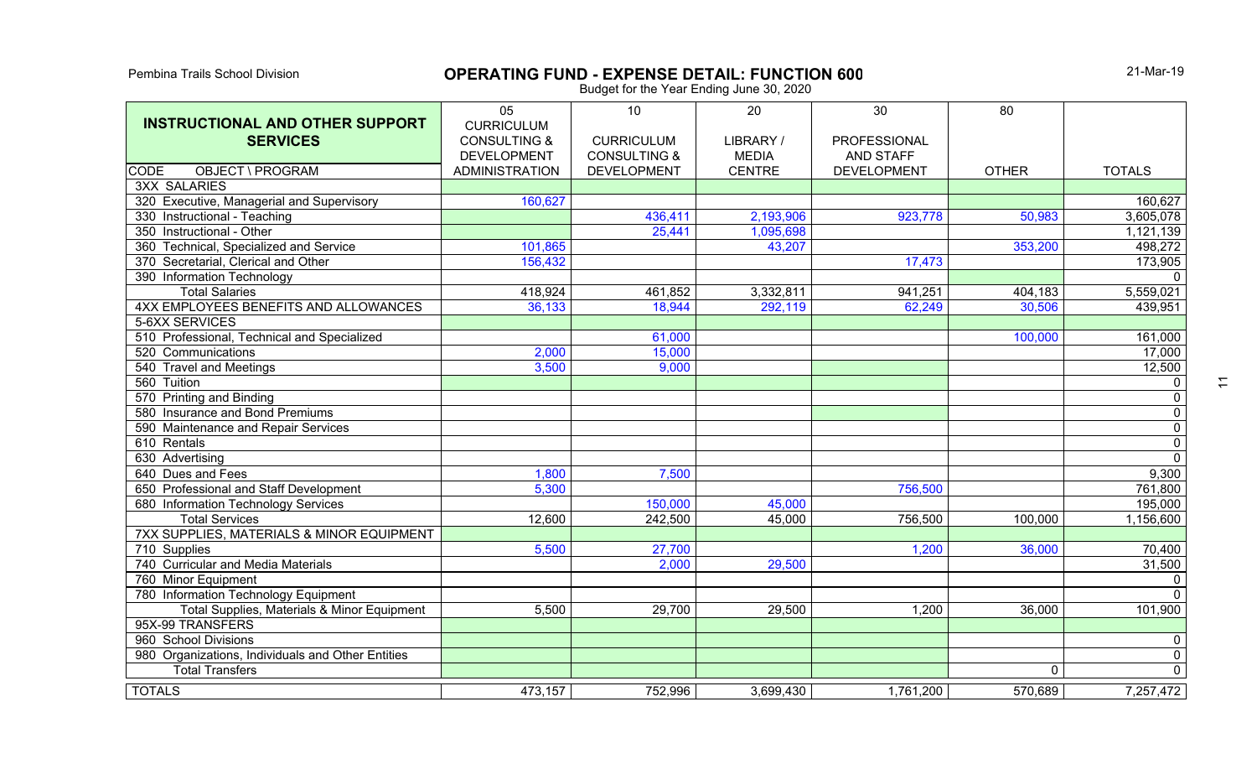# **OPERATING FUND - EXPENSE DETAIL: FUNCTION 600**

21-Mar-19

| <b>INSTRUCTIONAL AND OTHER SUPPORT</b>            | 05<br><b>CURRICULUM</b> | 10                      | 20            | 30                  | 80           |                |
|---------------------------------------------------|-------------------------|-------------------------|---------------|---------------------|--------------|----------------|
| <b>SERVICES</b>                                   | <b>CONSULTING &amp;</b> | <b>CURRICULUM</b>       | LIBRARY /     | <b>PROFESSIONAL</b> |              |                |
|                                                   | <b>DEVELOPMENT</b>      | <b>CONSULTING &amp;</b> | <b>MEDIA</b>  | <b>AND STAFF</b>    |              |                |
| <b>OBJECT \ PROGRAM</b><br><b>CODE</b>            | <b>ADMINISTRATION</b>   | <b>DEVELOPMENT</b>      | <b>CENTRE</b> | <b>DEVELOPMENT</b>  | <b>OTHER</b> | <b>TOTALS</b>  |
| <b>3XX SALARIES</b>                               |                         |                         |               |                     |              |                |
| 320 Executive, Managerial and Supervisory         | 160,627                 |                         |               |                     |              | 160,627        |
| 330 Instructional - Teaching                      |                         | 436,411                 | 2,193,906     | 923,778             | 50,983       | 3,605,078      |
| 350 Instructional - Other                         |                         | 25,441                  | 1,095,698     |                     |              | 1,121,139      |
| 360 Technical, Specialized and Service            | 101,865                 |                         | 43,207        |                     | 353,200      | 498,272        |
| 370 Secretarial, Clerical and Other               | 156,432                 |                         |               | 17,473              |              | 173,905        |
| 390 Information Technology                        |                         |                         |               |                     |              | $\Omega$       |
| <b>Total Salaries</b>                             | 418,924                 | 461,852                 | 3,332,811     | 941,251             | 404,183      | 5,559,021      |
| 4XX EMPLOYEES BENEFITS AND ALLOWANCES             | 36,133                  | 18,944                  | 292,119       | 62,249              | 30,506       | 439,951        |
| 5-6XX SERVICES                                    |                         |                         |               |                     |              |                |
| 510 Professional, Technical and Specialized       |                         | 61,000                  |               |                     | 100,000      | 161,000        |
| 520 Communications                                | 2,000                   | 15,000                  |               |                     |              | 17,000         |
| 540 Travel and Meetings                           | 3,500                   | 9,000                   |               |                     |              | 12,500         |
| 560 Tuition                                       |                         |                         |               |                     |              | $\mathbf 0$    |
| 570 Printing and Binding                          |                         |                         |               |                     |              | $\pmb{0}$      |
| 580 Insurance and Bond Premiums                   |                         |                         |               |                     |              | $\overline{0}$ |
| 590 Maintenance and Repair Services               |                         |                         |               |                     |              | $\overline{0}$ |
| 610 Rentals                                       |                         |                         |               |                     |              | $\overline{0}$ |
| 630 Advertising                                   |                         |                         |               |                     |              | $\overline{0}$ |
| 640 Dues and Fees                                 | 1,800                   | 7,500                   |               |                     |              | 9,300          |
| 650 Professional and Staff Development            | 5,300                   |                         |               | 756,500             |              | 761,800        |
| 680 Information Technology Services               |                         | 150,000                 | 45,000        |                     |              | 195,000        |
| <b>Total Services</b>                             | 12,600                  | 242,500                 | 45,000        | 756,500             | 100,000      | 1,156,600      |
| 7XX SUPPLIES, MATERIALS & MINOR EQUIPMENT         |                         |                         |               |                     |              |                |
| 710 Supplies                                      | 5,500                   | 27,700                  |               | 1,200               | 36,000       | 70,400         |
| 740 Curricular and Media Materials                |                         | 2,000                   | 29,500        |                     |              | 31,500         |
| 760 Minor Equipment                               |                         |                         |               |                     |              | $\mathbf 0$    |
| 780 Information Technology Equipment              |                         |                         |               |                     |              | $\Omega$       |
| Total Supplies, Materials & Minor Equipment       | 5,500                   | 29,700                  | 29,500        | 1,200               | 36,000       | 101,900        |
| 95X-99 TRANSFERS                                  |                         |                         |               |                     |              |                |
| 960 School Divisions                              |                         |                         |               |                     |              | 0              |
| 980 Organizations, Individuals and Other Entities |                         |                         |               |                     |              | $\mathbf 0$    |
| <b>Total Transfers</b>                            |                         |                         |               |                     | 0            | $\overline{0}$ |
| <b>TOTALS</b>                                     | 473,157                 | 752,996                 | 3,699,430     | 1,761,200           | 570,689      | 7,257,472      |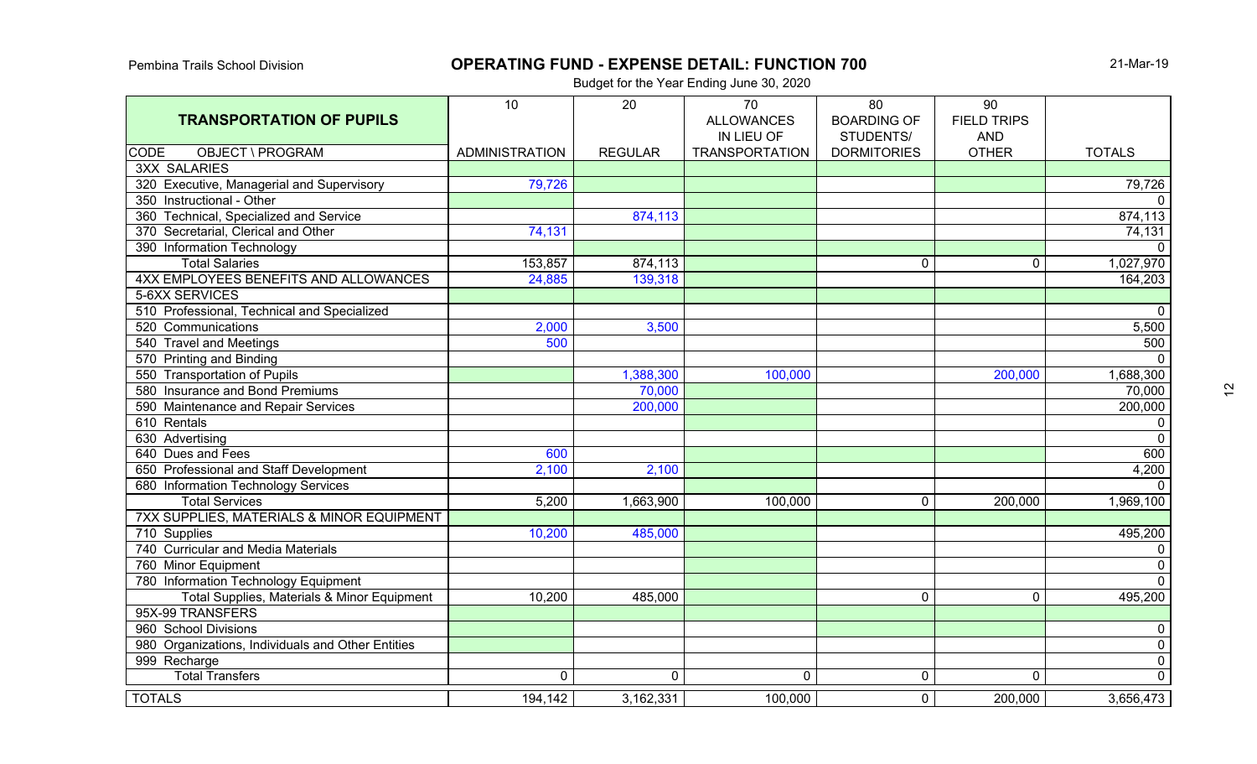# **OPERATING FUND - EXPENSE DETAIL: FUNCTION 700** 21-Mar-19

| <b>TRANSPORTATION OF PUPILS</b>                   | 10                    | 20             | 70<br><b>ALLOWANCES</b> | 80<br><b>BOARDING OF</b> | 90<br><b>FIELD TRIPS</b> |                      |
|---------------------------------------------------|-----------------------|----------------|-------------------------|--------------------------|--------------------------|----------------------|
|                                                   |                       |                | IN LIEU OF              | STUDENTS/                | <b>AND</b>               |                      |
| OBJECT \ PROGRAM<br><b>CODE</b>                   | <b>ADMINISTRATION</b> | <b>REGULAR</b> | <b>TRANSPORTATION</b>   | <b>DORMITORIES</b>       | <b>OTHER</b>             | <b>TOTALS</b>        |
| <b>3XX SALARIES</b>                               |                       |                |                         |                          |                          |                      |
| 320 Executive, Managerial and Supervisory         | 79,726                |                |                         |                          |                          | $\overline{79,726}$  |
| 350 Instructional - Other                         |                       |                |                         |                          |                          | $\overline{0}$       |
| 360 Technical, Specialized and Service            |                       | 874,113        |                         |                          |                          | 874,113              |
| 370 Secretarial, Clerical and Other               | 74,131                |                |                         |                          |                          | 74,131               |
| 390 Information Technology                        |                       |                |                         |                          |                          | $\mathbf 0$          |
| <b>Total Salaries</b>                             | 153,857               | 874,113        |                         | 0                        | $\mathbf{0}$             | 1,027,970            |
| 4XX EMPLOYEES BENEFITS AND ALLOWANCES             | 24,885                | 139,318        |                         |                          |                          | 164,203              |
| 5-6XX SERVICES                                    |                       |                |                         |                          |                          |                      |
| 510 Professional, Technical and Specialized       |                       |                |                         |                          |                          | $\mathbf 0$          |
| 520 Communications                                | 2,000                 | 3,500          |                         |                          |                          | 5,500                |
| 540 Travel and Meetings                           | 500                   |                |                         |                          |                          | 500                  |
| 570 Printing and Binding                          |                       |                |                         |                          |                          | $\mathbf{0}$         |
| 550 Transportation of Pupils                      |                       | 1,388,300      | 100,000                 |                          | 200,000                  | 1,688,300            |
| 580 Insurance and Bond Premiums                   |                       | 70,000         |                         |                          |                          | 70,000               |
| 590 Maintenance and Repair Services               |                       | 200,000        |                         |                          |                          | 200,000              |
| 610 Rentals                                       |                       |                |                         |                          |                          | 0                    |
| 630 Advertising                                   |                       |                |                         |                          |                          | $\mathbf 0$          |
| 640 Dues and Fees                                 | 600                   |                |                         |                          |                          | 600                  |
| 650 Professional and Staff Development            | 2,100                 | 2,100          |                         |                          |                          | 4,200                |
| 680 Information Technology Services               |                       |                |                         |                          |                          | $\mathbf 0$          |
| <b>Total Services</b>                             | 5,200                 | 1,663,900      | 100,000                 | $\mathbf 0$              | 200,000                  | 1,969,100            |
| 7XX SUPPLIES, MATERIALS & MINOR EQUIPMENT         |                       |                |                         |                          |                          |                      |
| 710 Supplies                                      | 10,200                | 485,000        |                         |                          |                          | 495,200              |
| 740 Curricular and Media Materials                |                       |                |                         |                          |                          | $\mathbf 0$          |
| 760 Minor Equipment                               |                       |                |                         |                          |                          | $\overline{0}$       |
| 780 Information Technology Equipment              |                       |                |                         |                          |                          | $\overline{\bullet}$ |
| Total Supplies, Materials & Minor Equipment       | 10,200                | 485,000        |                         | $\overline{0}$           | $\overline{0}$           | 495,200              |
| 95X-99 TRANSFERS                                  |                       |                |                         |                          |                          |                      |
| 960 School Divisions                              |                       |                |                         |                          |                          | $\mathbf 0$          |
| 980 Organizations, Individuals and Other Entities |                       |                |                         |                          |                          | $\mathbf 0$          |
| 999 Recharge                                      |                       |                |                         |                          |                          | $\overline{0}$       |
| <b>Total Transfers</b>                            | 0                     | $\mathbf 0$    | $\mathbf 0$             | $\mathbf 0$              | $\overline{0}$           | $\overline{0}$       |
| <b>TOTALS</b>                                     | 194,142               | 3,162,331      | 100,000                 | $\overline{0}$           | 200,000                  | 3,656,473            |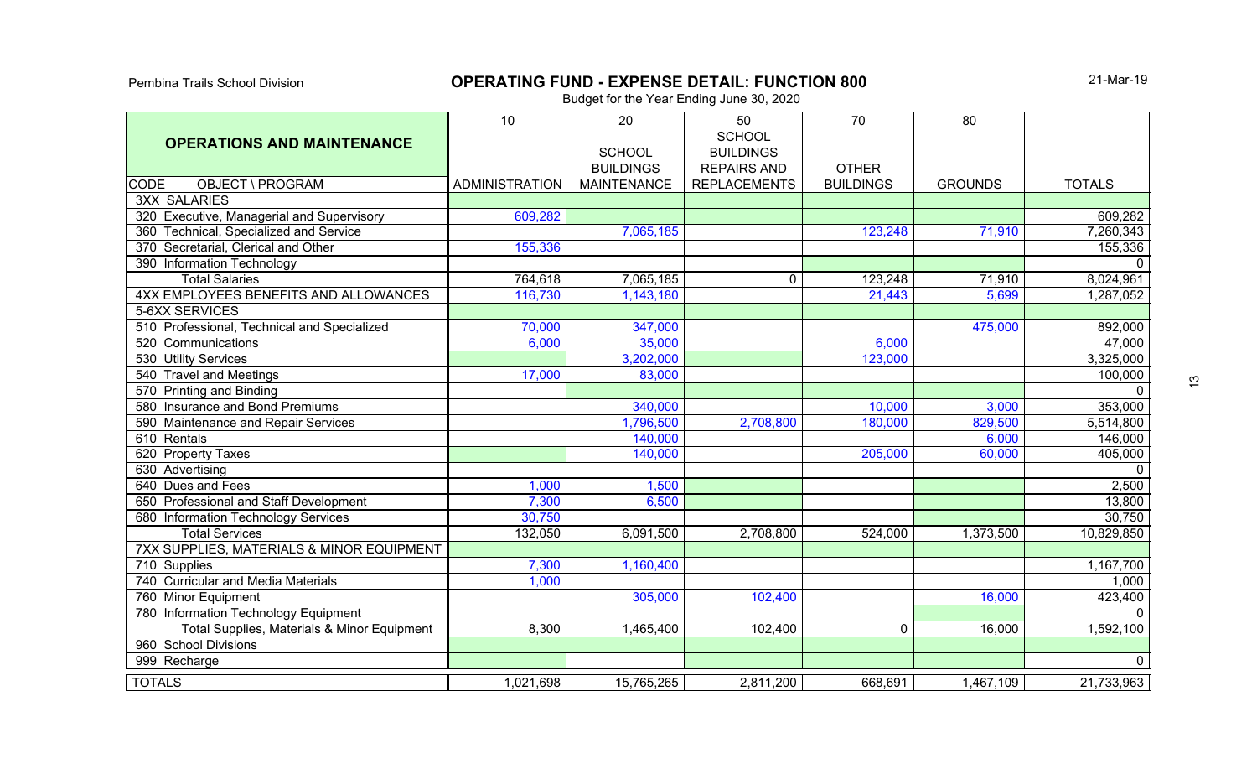# **OPERATING FUND - EXPENSE DETAIL: FUNCTION 800**

21-Mar-19

| <b>OPERATIONS AND MAINTENANCE</b>           | 10                    | 20<br><b>SCHOOL</b><br><b>BUILDINGS</b> | 50<br><b>SCHOOL</b><br><b>BUILDINGS</b><br><b>REPAIRS AND</b> | 70<br><b>OTHER</b> | 80             |               |
|---------------------------------------------|-----------------------|-----------------------------------------|---------------------------------------------------------------|--------------------|----------------|---------------|
| <b>CODE</b><br>OBJECT \ PROGRAM             | <b>ADMINISTRATION</b> | <b>MAINTENANCE</b>                      | <b>REPLACEMENTS</b>                                           | <b>BUILDINGS</b>   | <b>GROUNDS</b> | <b>TOTALS</b> |
| <b>3XX SALARIES</b>                         |                       |                                         |                                                               |                    |                |               |
| 320 Executive, Managerial and Supervisory   | 609,282               |                                         |                                                               |                    |                | 609,282       |
| 360 Technical, Specialized and Service      |                       | 7,065,185                               |                                                               | 123,248            | 71,910         | 7,260,343     |
| 370 Secretarial, Clerical and Other         | 155,336               |                                         |                                                               |                    |                | 155,336       |
| 390 Information Technology                  |                       |                                         |                                                               |                    |                | $\Omega$      |
| <b>Total Salaries</b>                       | 764,618               | 7,065,185                               | $\mathbf 0$                                                   | 123,248            | 71,910         | 8,024,961     |
| 4XX EMPLOYEES BENEFITS AND ALLOWANCES       | 116,730               | 1,143,180                               |                                                               | 21,443             | 5,699          | 1,287,052     |
| 5-6XX SERVICES                              |                       |                                         |                                                               |                    |                |               |
| 510 Professional, Technical and Specialized | 70,000                | 347,000                                 |                                                               |                    | 475,000        | 892,000       |
| 520 Communications                          | 6,000                 | 35,000                                  |                                                               | 6,000              |                | 47,000        |
| 530 Utility Services                        |                       | 3,202,000                               |                                                               | 123,000            |                | 3,325,000     |
| 540 Travel and Meetings                     | 17,000                | 83,000                                  |                                                               |                    |                | 100,000       |
| 570 Printing and Binding                    |                       |                                         |                                                               |                    |                | $\mathbf{0}$  |
| 580 Insurance and Bond Premiums             |                       | 340,000                                 |                                                               | 10,000             | 3,000          | 353,000       |
| 590 Maintenance and Repair Services         |                       | 1,796,500                               | 2,708,800                                                     | 180,000            | 829,500        | 5,514,800     |
| 610 Rentals                                 |                       | 140,000                                 |                                                               |                    | 6,000          | 146,000       |
| 620 Property Taxes                          |                       | 140,000                                 |                                                               | 205,000            | 60,000         | 405,000       |
| 630 Advertising                             |                       |                                         |                                                               |                    |                | $\mathbf 0$   |
| 640 Dues and Fees                           | 1,000                 | 1,500                                   |                                                               |                    |                | 2,500         |
| 650 Professional and Staff Development      | 7,300                 | 6,500                                   |                                                               |                    |                | 13,800        |
| 680 Information Technology Services         | 30,750                |                                         |                                                               |                    |                | 30,750        |
| <b>Total Services</b>                       | 132,050               | 6,091,500                               | 2,708,800                                                     | 524,000            | 1,373,500      | 10,829,850    |
| 7XX SUPPLIES, MATERIALS & MINOR EQUIPMENT   |                       |                                         |                                                               |                    |                |               |
| 710 Supplies                                | 7,300                 | 1,160,400                               |                                                               |                    |                | 1,167,700     |
| 740 Curricular and Media Materials          | 1,000                 |                                         |                                                               |                    |                | 1,000         |
| 760 Minor Equipment                         |                       | 305,000                                 | 102,400                                                       |                    | 16,000         | 423,400       |
| 780 Information Technology Equipment        |                       |                                         |                                                               |                    |                | $\Omega$      |
| Total Supplies, Materials & Minor Equipment | 8,300                 | 1,465,400                               | 102,400                                                       | $\mathbf 0$        | 16,000         | 1,592,100     |
| 960 School Divisions                        |                       |                                         |                                                               |                    |                |               |
| 999 Recharge                                |                       |                                         |                                                               |                    |                | $\mathbf 0$   |
| <b>TOTALS</b>                               | 1,021,698             | 15,765,265                              | 2,811,200                                                     | 668,691            | 1,467,109      | 21,733,963    |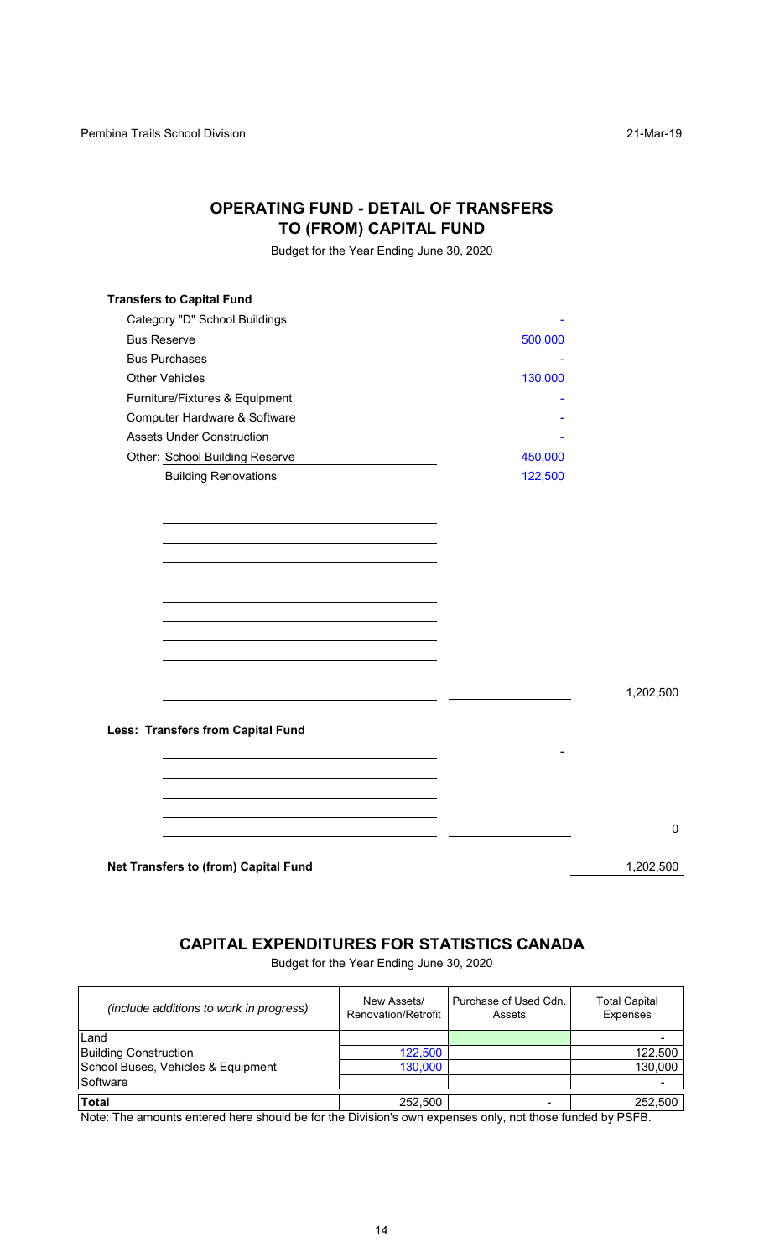## **OPERATING FUND - DETAIL OF TRANSFERS TO (FROM) CAPITAL FUND**

Budget for the Year Ending June 30, 2020

| <b>Transfers to Capital Fund</b>                                                                                                                                                                                                                                       |         |           |
|------------------------------------------------------------------------------------------------------------------------------------------------------------------------------------------------------------------------------------------------------------------------|---------|-----------|
| Category "D" School Buildings                                                                                                                                                                                                                                          |         |           |
| <b>Bus Reserve</b>                                                                                                                                                                                                                                                     | 500,000 |           |
| <b>Bus Purchases</b>                                                                                                                                                                                                                                                   |         |           |
| <b>Other Vehicles</b>                                                                                                                                                                                                                                                  | 130,000 |           |
| Furniture/Fixtures & Equipment                                                                                                                                                                                                                                         |         |           |
| Computer Hardware & Software                                                                                                                                                                                                                                           |         |           |
| <b>Assets Under Construction</b>                                                                                                                                                                                                                                       |         |           |
| Other: School Building Reserve<br><u>and the control of the control of the control of the control of the control of the control of the control of the control of the control of the control of the control of the control of the control of the control of the con</u> | 450,000 |           |
| <b>Building Renovations</b>                                                                                                                                                                                                                                            | 122,500 |           |
|                                                                                                                                                                                                                                                                        |         |           |
|                                                                                                                                                                                                                                                                        |         |           |
|                                                                                                                                                                                                                                                                        |         |           |
|                                                                                                                                                                                                                                                                        |         |           |
|                                                                                                                                                                                                                                                                        |         |           |
|                                                                                                                                                                                                                                                                        |         |           |
|                                                                                                                                                                                                                                                                        |         |           |
|                                                                                                                                                                                                                                                                        |         |           |
|                                                                                                                                                                                                                                                                        |         |           |
|                                                                                                                                                                                                                                                                        |         |           |
|                                                                                                                                                                                                                                                                        |         | 1,202,500 |
|                                                                                                                                                                                                                                                                        |         |           |
| Less: Transfers from Capital Fund                                                                                                                                                                                                                                      |         |           |
|                                                                                                                                                                                                                                                                        |         |           |
|                                                                                                                                                                                                                                                                        |         |           |
|                                                                                                                                                                                                                                                                        |         |           |
|                                                                                                                                                                                                                                                                        |         |           |
|                                                                                                                                                                                                                                                                        |         |           |
|                                                                                                                                                                                                                                                                        |         |           |
| Net Transfers to (from) Capital Fund                                                                                                                                                                                                                                   |         | 1,202,500 |
|                                                                                                                                                                                                                                                                        |         |           |

# **CAPITAL EXPENDITURES FOR STATISTICS CANADA**

Budget for the Year Ending June 30, 2020

| (include additions to work in progress) | New Assets/<br>Renovation/Retrofit | Purchase of Used Cdn.<br>Assets | <b>Total Capital</b><br>Expenses |
|-----------------------------------------|------------------------------------|---------------------------------|----------------------------------|
| Land                                    |                                    |                                 |                                  |
| <b>Building Construction</b>            | 122,500                            |                                 | 122,500                          |
| School Buses, Vehicles & Equipment      | 130,000                            |                                 | 130,000                          |
| Software                                |                                    |                                 |                                  |
| <b>Total</b>                            | 252,500                            |                                 | 252,500                          |

Note: The amounts entered here should be for the Division's own expenses only, not those funded by PSFB.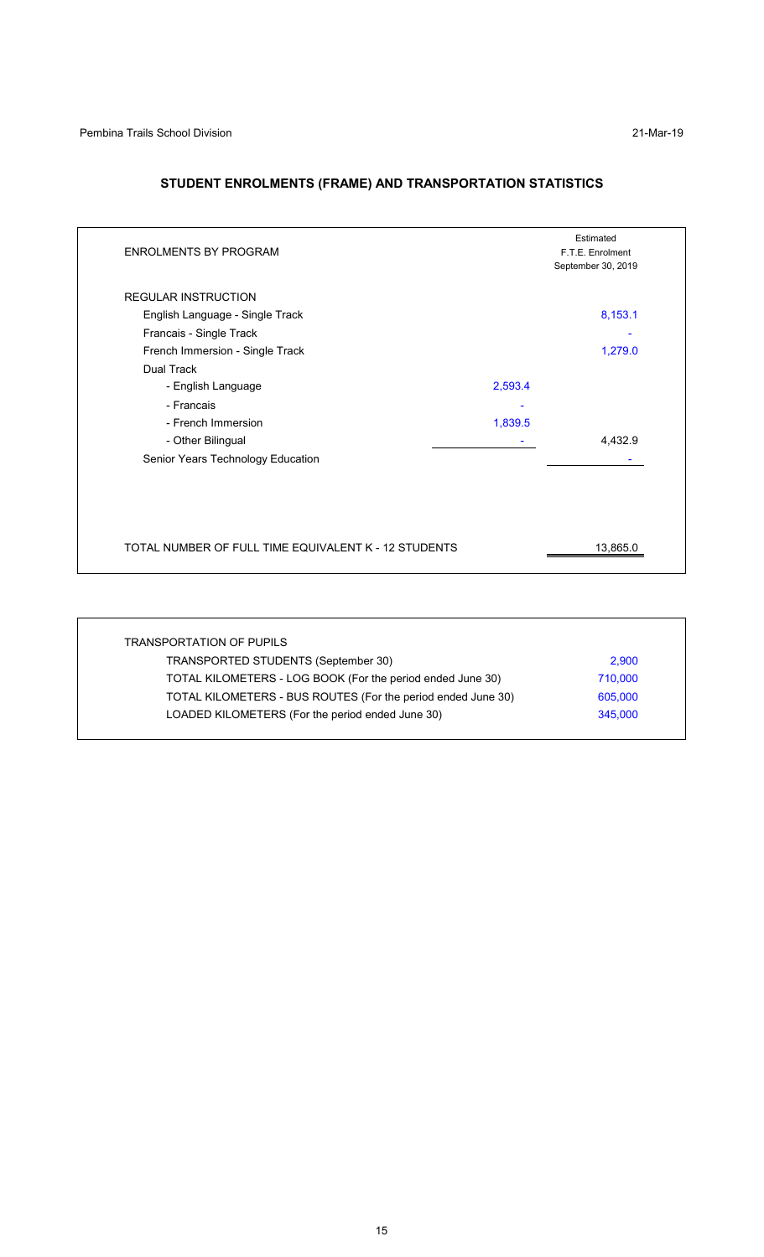## **STUDENT ENROLMENTS (FRAME) AND TRANSPORTATION STATISTICS**

|                                                      | Estimated<br>F.T.E. Enrolment<br>September 30, 2019 |
|------------------------------------------------------|-----------------------------------------------------|
|                                                      |                                                     |
|                                                      | 8,153.1                                             |
|                                                      |                                                     |
|                                                      | 1,279.0                                             |
|                                                      |                                                     |
| 2,593.4                                              |                                                     |
|                                                      |                                                     |
| 1,839.5                                              |                                                     |
|                                                      | 4,432.9                                             |
|                                                      |                                                     |
|                                                      |                                                     |
| TOTAL NUMBER OF FULL TIME EQUIVALENT K - 12 STUDENTS | 13,865.0                                            |
|                                                      |                                                     |

| TRANSPORTATION OF PUPILS                                     |         |
|--------------------------------------------------------------|---------|
| TRANSPORTED STUDENTS (September 30)                          | 2,900   |
| TOTAL KILOMETERS - LOG BOOK (For the period ended June 30)   | 710,000 |
| TOTAL KILOMETERS - BUS ROUTES (For the period ended June 30) | 605,000 |
| LOADED KILOMETERS (For the period ended June 30)             | 345,000 |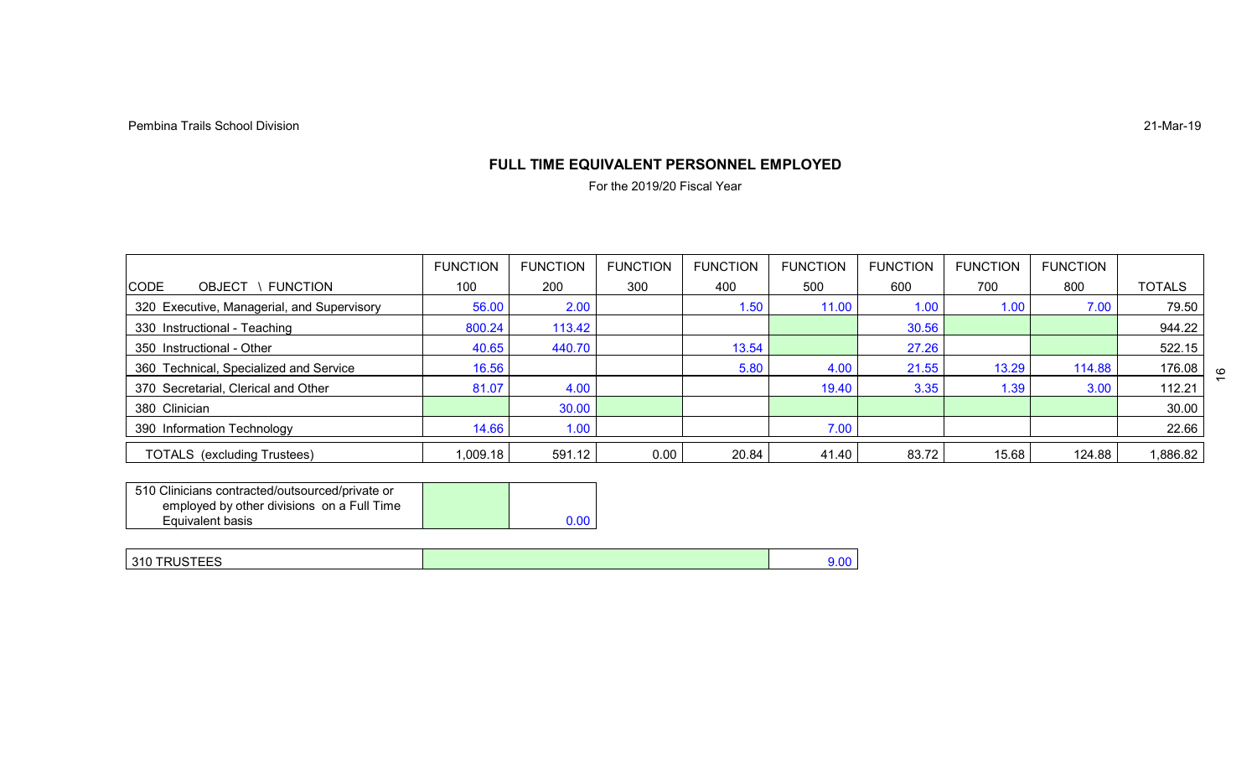## **FULL TIME EQUIVALENT PERSONNEL EMPLOYED**

For the 2019/20 Fiscal Year

|                                            | <b>FUNCTION</b> | <b>FUNCTION</b> | <b>FUNCTION</b> | <b>FUNCTION</b> | <b>FUNCTION</b> | <b>FUNCTION</b> | <b>FUNCTION</b> | <b>FUNCTION</b> |               |
|--------------------------------------------|-----------------|-----------------|-----------------|-----------------|-----------------|-----------------|-----------------|-----------------|---------------|
| FUNCTION<br><b>CODE</b><br><b>OBJECT</b>   | 100             | 200             | 300             | 400             | 500             | 600             | 700             | 800             | <b>TOTALS</b> |
| 320 Executive, Managerial, and Supervisory | 56.00           | 2.00            |                 | 1.50            | 11.00           | 1.00            | 1.00            | 7.00            | 79.50         |
| 330 Instructional - Teaching               | 800.24          | 113.42          |                 |                 |                 | 30.56           |                 |                 | 944.22        |
| 350 Instructional - Other                  | 40.65           | 440.70          |                 | 13.54           |                 | 27.26           |                 |                 | 522.15        |
| 360 Technical, Specialized and Service     | 16.56           |                 |                 | 5.80            | 4.00            | 21.55           | 13.29           | 114.88          | 176.08        |
| 370 Secretarial, Clerical and Other        | 81.07           | 4.00            |                 |                 | 19.40           | 3.35            | 1.39            | 3.00            | 112.21        |
| 380 Clinician                              |                 | 30.00           |                 |                 |                 |                 |                 |                 | 30.00         |
| 390 Information Technology                 | 14.66           | 1.00            |                 |                 | 7.00            |                 |                 |                 | 22.66         |
| <b>TOTALS</b> (excluding Trustees)         | 1,009.18        | 591.12          | 0.00            | 20.84           | 41.40           | 83.72           | 15.68           | 124.88          | 1,886.82      |

| 510 Clinicians contracted/outsourced/private or |      |
|-------------------------------------------------|------|
| employed by other divisions on a Full Time      |      |
| Equivalent basis                                | 0.00 |

| 310 TRUSTEES | $\sim$<br>1.UL |
|--------------|----------------|
|              |                |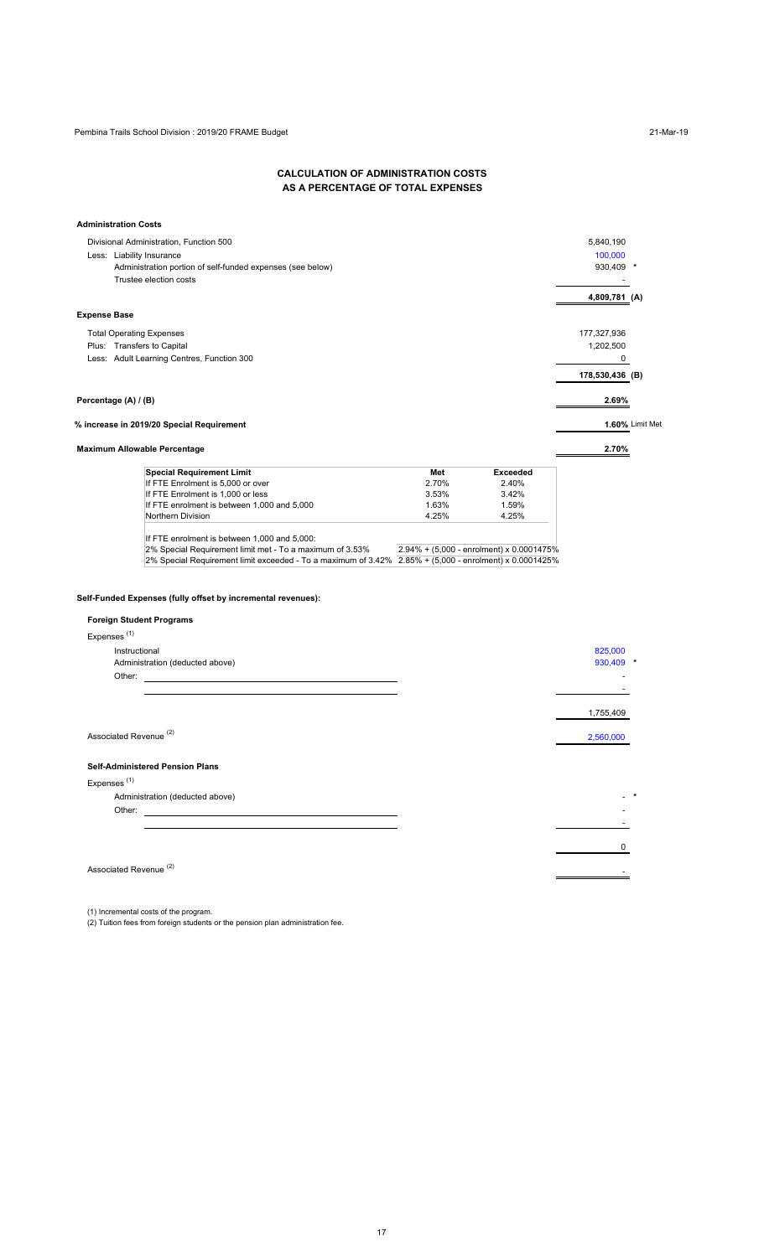#### **CALCULATION OF ADMINISTRATION COSTS AS A PERCENTAGE OF TOTAL EXPENSES**

|                         | <b>Administration Costs</b>                                                                            |       |                                          |                 |                 |
|-------------------------|--------------------------------------------------------------------------------------------------------|-------|------------------------------------------|-----------------|-----------------|
|                         | Divisional Administration, Function 500                                                                |       |                                          | 5,840,190       |                 |
|                         | Less: Liability Insurance                                                                              |       |                                          | 100,000         |                 |
|                         | Administration portion of self-funded expenses (see below)                                             |       |                                          | 930,409 *       |                 |
|                         | Trustee election costs                                                                                 |       |                                          |                 |                 |
|                         |                                                                                                        |       |                                          | 4,809,781 (A)   |                 |
| <b>Expense Base</b>     |                                                                                                        |       |                                          |                 |                 |
|                         | <b>Total Operating Expenses</b>                                                                        |       |                                          | 177,327,936     |                 |
|                         | Plus: Transfers to Capital                                                                             |       |                                          | 1,202,500       |                 |
|                         | Less: Adult Learning Centres, Function 300                                                             |       |                                          | 0               |                 |
|                         |                                                                                                        |       |                                          | 178,530,436 (B) |                 |
|                         |                                                                                                        |       |                                          |                 |                 |
|                         | Percentage (A) / (B)                                                                                   |       |                                          | 2.69%           |                 |
|                         | % increase in 2019/20 Special Requirement                                                              |       |                                          |                 | 1.60% Limit Met |
|                         | <b>Maximum Allowable Percentage</b>                                                                    |       |                                          | 2.70%           |                 |
|                         | <b>Special Requirement Limit</b>                                                                       | Met   | <b>Exceeded</b>                          |                 |                 |
|                         | If FTE Enrolment is 5,000 or over                                                                      | 2.70% | 2.40%                                    |                 |                 |
|                         | If FTE Enrolment is 1,000 or less                                                                      | 3.53% | 3.42%                                    |                 |                 |
|                         | If FTE enrolment is between 1,000 and 5,000                                                            | 1.63% | 1.59%                                    |                 |                 |
|                         | Northern Division                                                                                      | 4.25% | 4.25%                                    |                 |                 |
|                         | If FTE enrolment is between 1,000 and 5,000:                                                           |       |                                          |                 |                 |
|                         | 2% Special Requirement limit met - To a maximum of 3.53%                                               |       | 2.94% + (5,000 - enrolment) x 0.0001475% |                 |                 |
|                         | 2% Special Requirement limit exceeded - To a maximum of 3.42% 2.85% + (5,000 - enrolment) x 0.0001425% |       |                                          |                 |                 |
|                         | Self-Funded Expenses (fully offset by incremental revenues):<br><b>Foreign Student Programs</b>        |       |                                          |                 |                 |
| Expenses <sup>(1)</sup> |                                                                                                        |       |                                          |                 |                 |
|                         | Instructional                                                                                          |       |                                          | 825,000         |                 |
|                         | Administration (deducted above)                                                                        |       |                                          | 930,409         |                 |
|                         | Other:                                                                                                 |       |                                          |                 |                 |
|                         |                                                                                                        |       |                                          |                 |                 |
|                         |                                                                                                        |       |                                          |                 |                 |
|                         |                                                                                                        |       |                                          | 1,755,409       |                 |
|                         | Associated Revenue <sup>(2)</sup>                                                                      |       |                                          | 2,560,000       |                 |
|                         | <b>Self-Administered Pension Plans</b>                                                                 |       |                                          |                 |                 |
| Expenses <sup>(1)</sup> |                                                                                                        |       |                                          |                 |                 |
|                         | Administration (deducted above)                                                                        |       |                                          |                 |                 |
|                         | Other:                                                                                                 |       |                                          |                 |                 |
|                         |                                                                                                        |       |                                          |                 |                 |
|                         |                                                                                                        |       |                                          |                 |                 |
|                         |                                                                                                        |       |                                          | 0               |                 |
|                         | Associated Revenue <sup>(2)</sup>                                                                      |       |                                          |                 |                 |
|                         |                                                                                                        |       |                                          |                 |                 |

(1) Incremental costs of the program.

(2) Tuition fees from foreign students or the pension plan administration fee.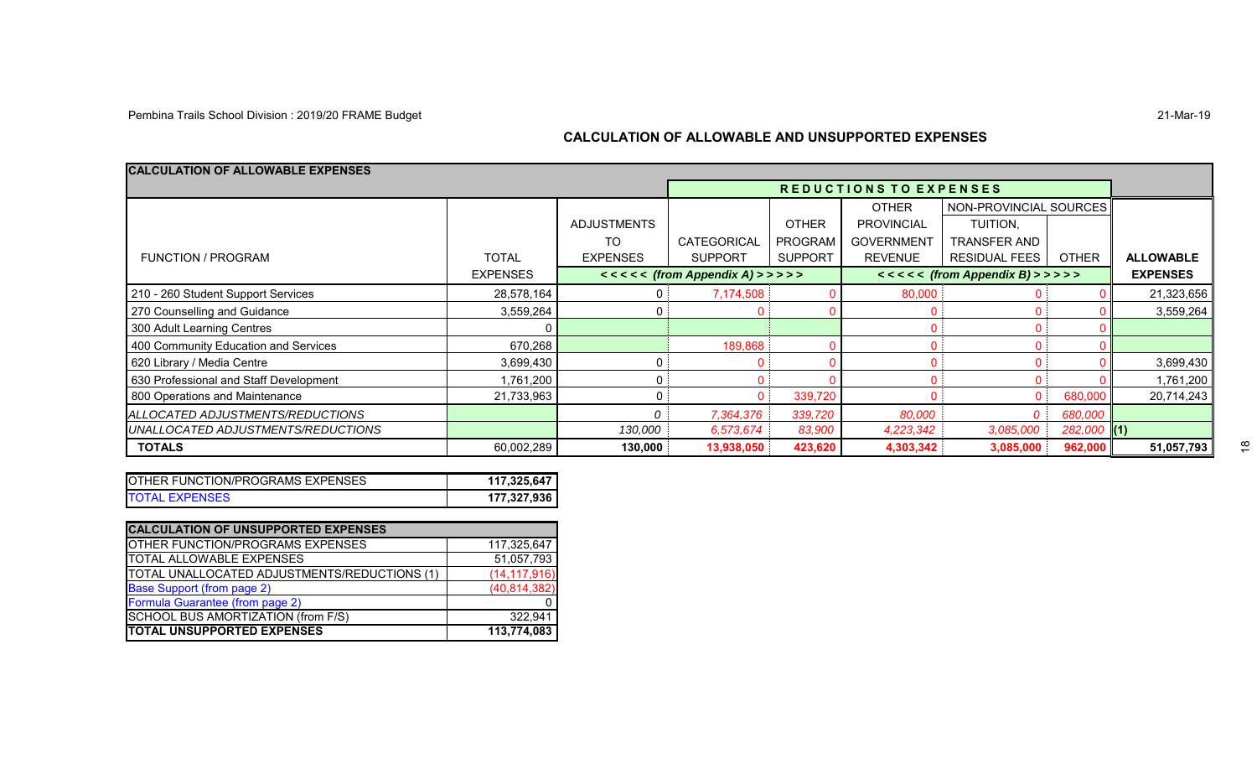#### **CALCULATION OF ALLOWABLE AND UNSUPPORTED EXPENSES**

| <b>CALCULATION OF ALLOWABLE EXPENSES</b> |                 |                    |                                |                |                              |                        |               |                  |
|------------------------------------------|-----------------|--------------------|--------------------------------|----------------|------------------------------|------------------------|---------------|------------------|
|                                          |                 |                    | REDUCTIONS TO EXPENSES         |                |                              |                        |               |                  |
|                                          |                 |                    |                                |                | <b>OTHER</b>                 | NON-PROVINCIAL SOURCES |               |                  |
|                                          |                 | <b>ADJUSTMENTS</b> |                                | <b>OTHER</b>   | <b>PROVINCIAL</b>            | TUITION.               |               |                  |
|                                          |                 | TO                 | CATEGORICAL                    | <b>PROGRAM</b> | <b>GOVERNMENT</b>            | <b>TRANSFER AND</b>    |               |                  |
| <b>FUNCTION / PROGRAM</b>                | <b>TOTAL</b>    | <b>EXPENSES</b>    | <b>SUPPORT</b>                 | <b>SUPPORT</b> | <b>REVENUE</b>               | <b>RESIDUAL FEES</b>   | <b>OTHER</b>  | <b>ALLOWABLE</b> |
|                                          | <b>EXPENSES</b> |                    | $<<<<$ (from Appendix A) >>>>> |                | $<<<<(from Appendix B)$ >>>> |                        |               | <b>EXPENSES</b>  |
| 210 - 260 Student Support Services       | 28,578,164      |                    | 7,174,508                      |                | 80,000                       |                        |               | 21,323,656       |
| 270 Counselling and Guidance             | 3,559,264       |                    |                                |                |                              |                        |               | 3,559,264        |
| 300 Adult Learning Centres               |                 |                    |                                |                |                              |                        |               |                  |
| 400 Community Education and Services     | 670,268         |                    | 189,868                        |                |                              |                        |               |                  |
| 620 Library / Media Centre               | 3,699,430       |                    |                                |                |                              |                        |               | 3,699,430        |
| 630 Professional and Staff Development   | 1,761,200       |                    |                                |                |                              |                        |               | 1,761,200        |
| 800 Operations and Maintenance           | 21,733,963      |                    |                                | 339,720        |                              |                        | 680,000       | 20,714,243       |
| ALLOCATED ADJUSTMENTS/REDUCTIONS         |                 |                    | 7,364,376                      | 339,720        | 80,000                       |                        | 680,000       |                  |
| UNALLOCATED ADJUSTMENTS/REDUCTIONS       |                 | 130,000            | 6,573,674                      | 83,900         | 4,223,342                    | 3,085,000              | $282,000$ (1) |                  |
| <b>TOTALS</b>                            | 60,002,289      | 130.000            | 13,938,050                     | 423,620        | 4,303,342                    | 3,085,000              | 962,000       | 51,057,793       |

| <b>IOTHER FUNCTION/PROGRAMS EXPENSES</b> | 117,325,647 |
|------------------------------------------|-------------|
| <b>TOTAL EXPENSES</b>                    | 177,327,936 |

| <b>CALCULATION OF UNSUPPORTED EXPENSES</b>          |                |
|-----------------------------------------------------|----------------|
| OTHER FUNCTION/PROGRAMS EXPENSES                    | 117,325,647    |
| <b>TOTAL ALLOWABLE EXPENSES</b>                     | 51,057,793     |
| <b>TOTAL UNALLOCATED ADJUSTMENTS/REDUCTIONS (1)</b> | (14, 117, 916) |
| <b>Base Support (from page 2)</b>                   | (40, 814, 382) |
| Formula Guarantee (from page 2)                     |                |
| SCHOOL BUS AMORTIZATION (from F/S)                  | 322.941        |
| <b>TOTAL UNSUPPORTED EXPENSES</b>                   | 113,774,083    |

 $\frac{\infty}{\cdot}$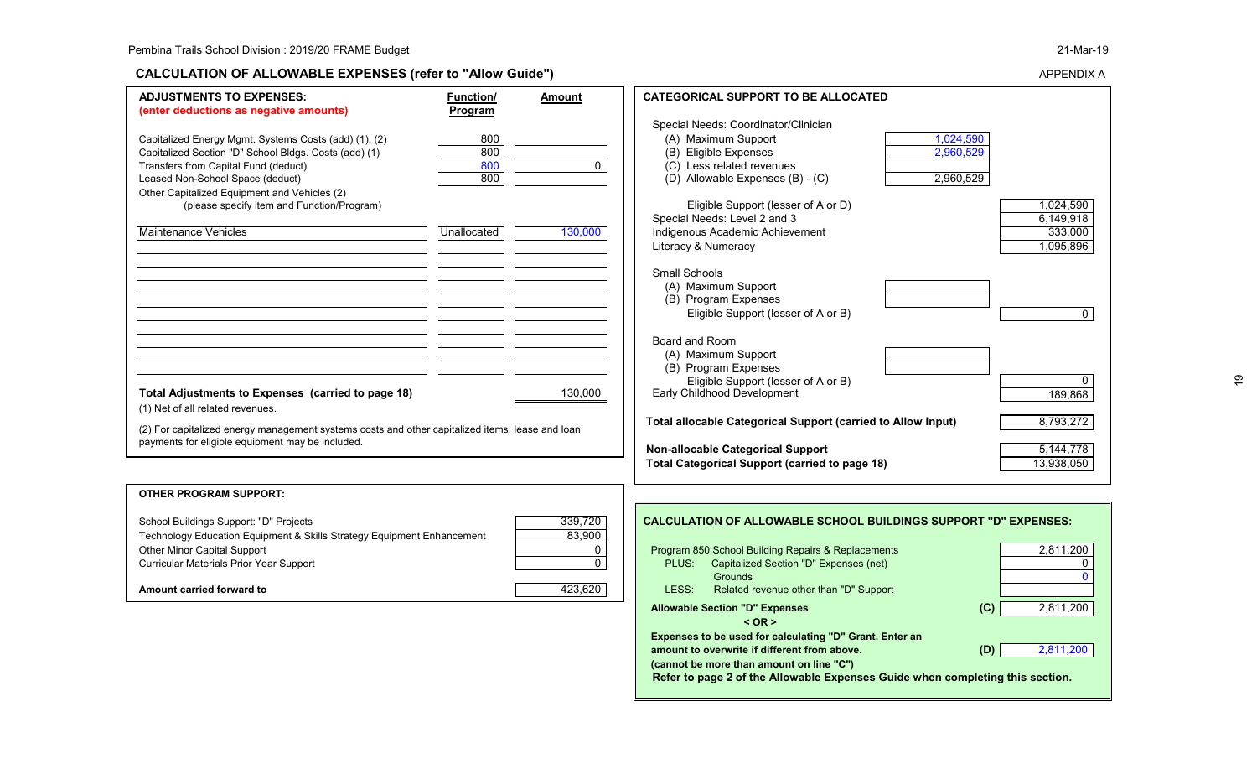#### **CALCULATION OF ALLOWABLE EXPENSES (refer to "Allow Guide")**

 **Refer to page 2 of the Allowable Expenses Guide when completing this section.**

APPENDIX A

 $\overline{\mathbf{e}}$